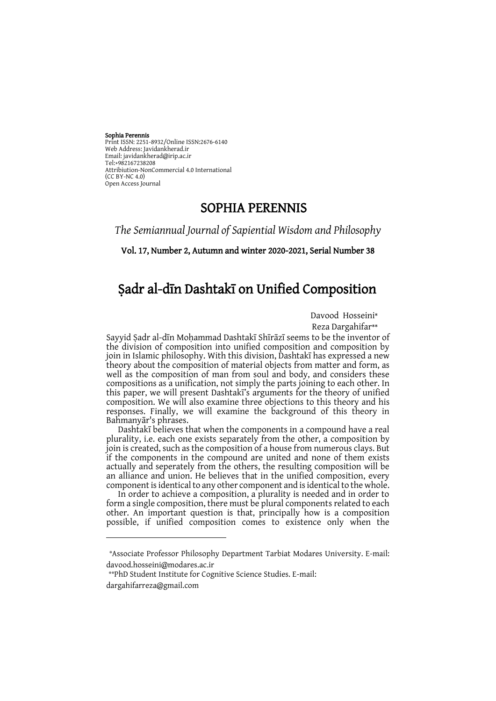#### Sophia Perennis

-

Print ISSN: 2251-8932/Online ISSN: 2676-6140 Web Address: Javidankherad.ir Email[: javidankherad@irip.ac.ir](mailto:javidankherad@irip.ac.ir) [Tel:+982167238208](tel:+982167238208) Attribiution-NonCommercial 4.0 International (CC BY-NC 4.0) Open Access Journal

## SOPHIA PERENNIS

*The Semiannual Journal of Sapiential Wisdom and Philosophy*

Vol. 17, Number 2, Autumn and winter 2020-2021, Serial Number 38

# Ṣadr al-dīn Dashtakī on Unified Composition

Davood Hosseini\*

Reza Dargahifar\*\*

Sayyid Ṣadr al-dīn Moḥammad Dashtakī Shīrāzī seems to be the inventor of the division of composition into unified composition and composition by join in Islamic philosophy. With this division, Dashtakī has expressed a new theory about the composition of material objects from matter and form, as well as the composition of man from soul and body, and considers these compositions as a unification, not simply the parts joining to each other. In this paper, we will present Dashtakī's arguments for the theory of unified composition. We will also examine three objections to this theory and his responses. Finally, we will examine the background of this theory in Bahmanyār's phrases.

Dashtakī believes that when the components in a compound have a real plurality, i.e. each one exists separately from the other, a composition by join is created, such as the composition of a house from numerous clays. But if the components in the compound are united and none of them exists actually and seperately from the others, the resulting composition will be an alliance and union. He believes that in the unified composition, every component is identical to any other component and is identical to the whole.

In order to achieve a composition, a plurality is needed and in order to form a single composition, there must be plural components related to each other. An important question is that, principally how is a composition possible, if unified composition comes to existence only when the

<sup>\*</sup>Associate Professor Philosophy Department Tarbiat Modares University. E-mail: davood.hosseini@modares.ac.ir

<sup>\*\*</sup>PhD Student Institute for Cognitive Science Studies. E-mail: dargahifarreza@gmail.com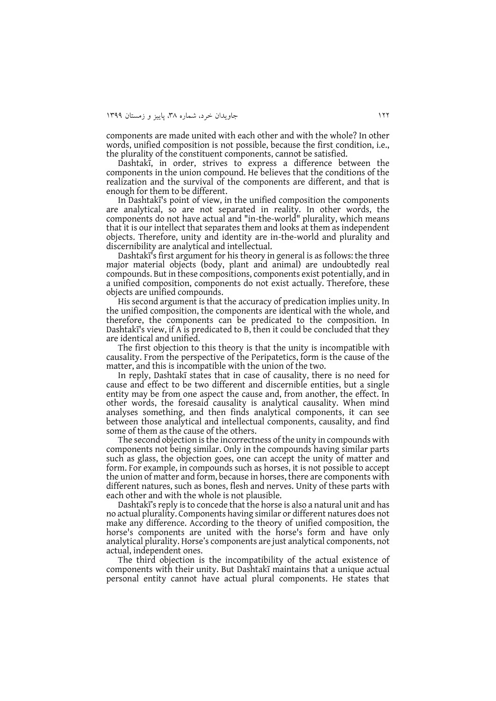components are made united with each other and with the whole? In other words, unified composition is not possible, because the first condition, i.e., the plurality of the constituent components, cannot be satisfied.

Dashtakī, in order, strives to express a difference between the components in the union compound. He believes that the conditions of the realization and the survival of the components are different, and that is enough for them to be different.

In Dashtakī's point of view, in the unified composition the components are analytical, so are not separated in reality. In other words, the components do not have actual and "in-the-world" plurality, which means that it is our intellect that separates them and looks at them as independent objects. Therefore, unity and identity are in-the-world and plurality and discernibility are analytical and intellectual.

Dashtakī's first argument for his theory in general is as follows: the three major material objects (body, plant and animal) are undoubtedly real compounds. But in these compositions, components exist potentially, and in a unified composition, components do not exist actually. Therefore, these objects are unified compounds.

His second argument is that the accuracy of predication implies unity. In the unified composition, the components are identical with the whole, and therefore, the components can be predicated to the composition. In Dashtakī's view, if A is predicated to B, then it could be concluded that they are identical and unified.

The first objection to this theory is that the unity is incompatible with causality. From the perspective of the Peripatetics, form is the cause of the matter, and this is incompatible with the union of the two.

In reply, Dashtakī states that in case of causality, there is no need for cause and effect to be two different and discernible entities, but a single entity may be from one aspect the cause and, from another, the effect. In other words, the foresaid causality is analytical causality. When mind analyses something, and then finds analytical components, it can see between those analytical and intellectual components, causality, and find some of them as the cause of the others.

The second objection is the incorrectness of the unity in compounds with components not being similar. Only in the compounds having similar parts such as glass, the objection goes, one can accept the unity of matter and form. For example, in compounds such as horses, it is not possible to accept the union of matter and form, because in horses, there are components with different natures, such as bones, flesh and nerves. Unity of these parts with each other and with the whole is not plausible.

Dashtakī's reply is to concede that the horse is also a natural unit and has no actual plurality. Components having similar or different natures does not make any difference. According to the theory of unified composition, the horse's components are united with the horse's form and have only analytical plurality. Horse's components are just analytical components, not actual, independent ones.

The third objection is the incompatibility of the actual existence of components with their unity. But Dashtakī maintains that a unique actual personal entity cannot have actual plural components. He states that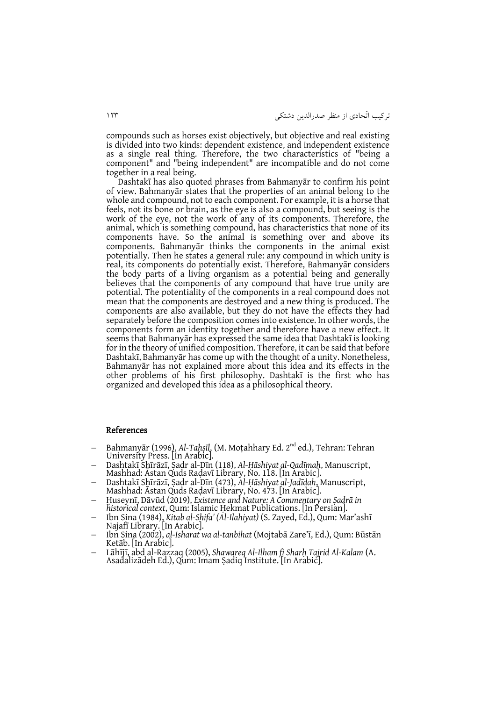compounds such as horses exist objectively, but objective and real existing is divided into two kinds: dependent existence, and independent existence as a single real thing. Therefore, the two characteristics of "being a component" and "being independent" are incompatible and do not come together in a real being.

Dashtakī has also quoted phrases from Bahmanyār to confirm his point of view. Bahmanyār states that the properties of an animal belong to the whole and compound, not to each component. For example, it is a horse that feels, not its bone or brain, as the eye is also a compound, but seeing is the work of the eye, not the work of any of its components. Therefore, the animal, which is something compound, has characteristics that none of its components have. So the animal is something over and above its components. Bahmanyār thinks the components in the animal exist potentially. Then he states a general rule: any compound in which unity is real, its components do potentially exist. Therefore, Bahmanyār considers the body parts of a living organism as a potential being and generally believes that the components of any compound that have true unity are potential. The potentiality of the components in a real compound does not mean that the components are destroyed and a new thing is produced. The components are also available, but they do not have the effects they had separately before the composition comes into existence. In other words, the components form an identity together and therefore have a new effect. It seems that Bahmanyār has expressed the same idea that Dashtakī is looking for in the theory of unified composition. Therefore, it can be said that before Dashtakī, Bahmanyār has come up with the thought of a unity. Nonetheless, Bahmanyār has not explained more about this idea and its effects in the other problems of his first philosophy. Dashtakī is the first who has organized and developed this idea as a philosophical theory.

#### References

- Bahmanyār (1996), *Al-Taḥṣīl*, (M. Moṭahhary Ed. 2nd ed.), Tehran: Tehran University Press. [In Arabic].
- Dashtakī Shīrāzī, Ṣadr al-Dīn (118), *Al-Ḥāshiyat al-Qadīmah*, Manuscript, Mashhad: Āstan Quds Raḍavī Library, No. 118. [In Arabic].
- Dashtakī Shīrāzī, Ṣadr al-Dīn (473), *Al-Ḥāshiyat al-Jadīdah*, Manuscript, Mashhad: Āstan Quds Raḍavī Library, No. 473. [In Arabic].
- Ḥuseynī, Dāvūd (2019), *Existence and Nature: A Commentary on Ṣadrā in historical context*, Qum: Islamic Ḥekmat Publications. [In Persian].
- Ibn Sina (1984), *Kitab al-Shifa' (Al-Ilahiyat)* (S. Zayed, Ed.), Qum: Mar'ashī Najafī Library. [In Arabic].
- Ibn Sina (2002), *al-Isharat wa al-tanbihat* (Mojtabā Zare'ī, Ed.), Qum: Būstān Ketāb. [In Arabic].
- Lāhījī, abd al-Razzaq (2005), *Shawareq Al-Ilham fi Sharḥ Tajrid Al-Kalam* (A. Asadalizādeh Ed.), Qum: Imam Ṣadiq Institute. [In Arabic].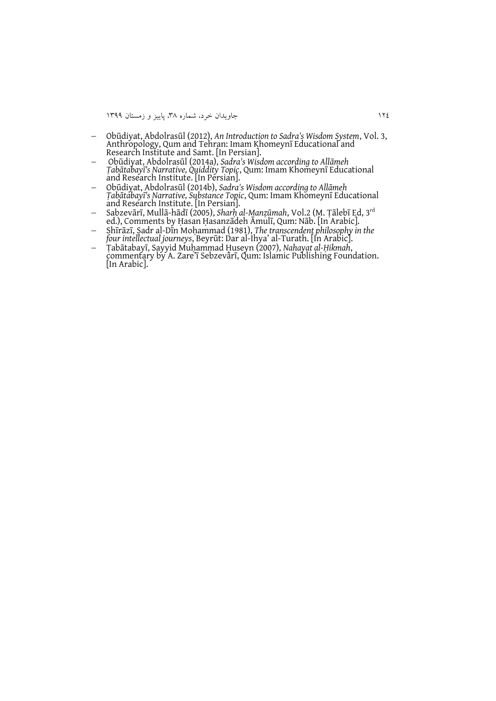- Obūdiyat, Abdolrasūl (2012), *An Introduction to Sadra's Wisdom System*, Vol. 3, Anthropology, Qum and Tehran: Imam Khomeynī Educational and Research Institute and Samt. [In Persian].
- Obūdiyat, Abdolrasūl (2014a), *Sadra's Wisdom according to Allāmeh Ṭabātabayī's Narrative, Quiddity Topic*, Qum: Imam Khomeynī Educational and Research Institute. [In Persian].
- Obūdiyat, Abdolrasūl (2014b), *Sadra's Wisdom according to Allāmeh Ṭabātabayī's Narrative, Substance Topic*, Qum: Imam Khomeynī Educational and Research Institute. [In Persian].
- Sabzevārī, Mullā-hādī (2005), *Sharḥ al-Manẓūmah*, Vol.2 (M. Ṭālebī Ed, 3rd ed.), Comments by Ḥasan Ḥasanzādeh Āmulī, Qum: Nāb. [In Arabic].
- Shīrāzī, Ṣadr al-Dīn Moḥammad (1981), *The transcendent philosophy in the four intellectual journeys*, Beyrūt: Dar al-Ihya' al-Turath. [In Arabic].
- Ṭabātabayī, Sayyid Muḥammad Ḥuseyn (2007), *Nahayat al-Ḥikmah*, commentary by A. Zare'ī Sebzevārī, Qum: Islamic Publishing Foundation. [In Arabic].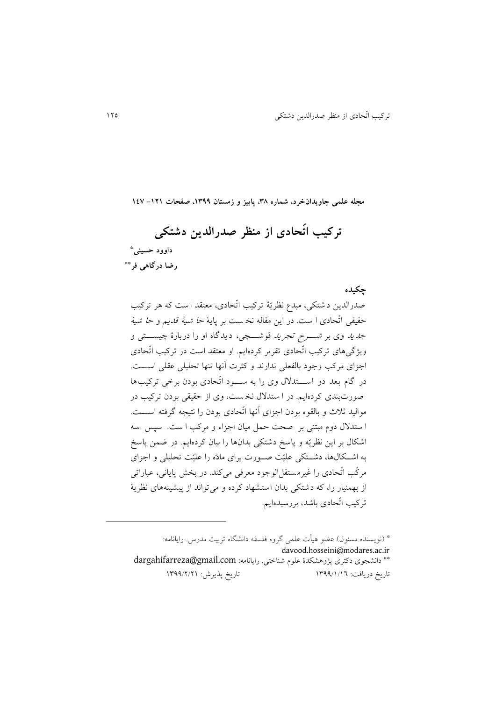**تركیب اتّحادي از منظر صدرالدین دشتكی داوود حسینی\* رضا درگاهی فر\*\***

**مجله علمی جاویدانخرد، شماره ،83 پاییز و زمستان ،9811 صفحات -929 941**

**چكیده**

صدرالدين د شتكي، مبدع نظريّۀ تركیب اتّحادي، معتقد ا ست كه هر تركیب حقیقي اتّحادي ا ست. در اين مقاله نخ ست بر پايۀ حا شیۀ قديم و حا شیۀ *جديد وي بر شــــــرح تجريد ق*وشــــــچي، ديدگاه او را دربارهٔ چیســــتي و ويژگيهاي تركیب اتّحادي تقرير كردهايم. او معتقد است در تركیب اتّحادي اجزاي مركب وجود بالفعلي ندارند و كثرت آنها تنها تحلیلي عقلي اسرررت. در گام بعد دو استدلال وي را به سود اتّحادي بودن برخي تركيبها صورت بندي كردهايم. در ا ستد نخ ست، وي از حقیقي بودن تركیب در موالید ثلاث و بالقوه بودن اجزای آنها اتّحادی بودن را نتیجه گرفته اســــت. ا ستد دوم مبتني بر صحت حمل میان اجزاء و مركب ا ست. سپس سه اشكال بر اين نظريّه و پاسخ دشتكي بدانها را بيان كردهايم. در ضمن پاسخ به اشكالها، دشتكي علیّت صورت براي مادّه را علیّت تحلیلي و اجزاي مركّب اتّحادي را غیرم ستقل الوجود معرفي ميكند. در بخش پاياني، عباراتي از بهمنیار را، كه دشتكي بدان استشهاد كرده و مي تواند از پیشینههاي نظريۀ تركیب اتّحادي باشد، بررسیدهايم.

\* )نويسنده مسئو ( عضو هیأت علمي گروه فلسفه دانشگاه تربیت مدرس. رايانامه: davood.hosseini@modares.ac.ir دانشجوي دكتري پژوهشكدة علوم شناختي. رايانامه: [com.gmail@dargahifarreza](mailto:dargahifarreza@gmail.com)\*\* تاريخ دريافت: 2811/2/21 تاريخ پذيرش: 2811/1/12

-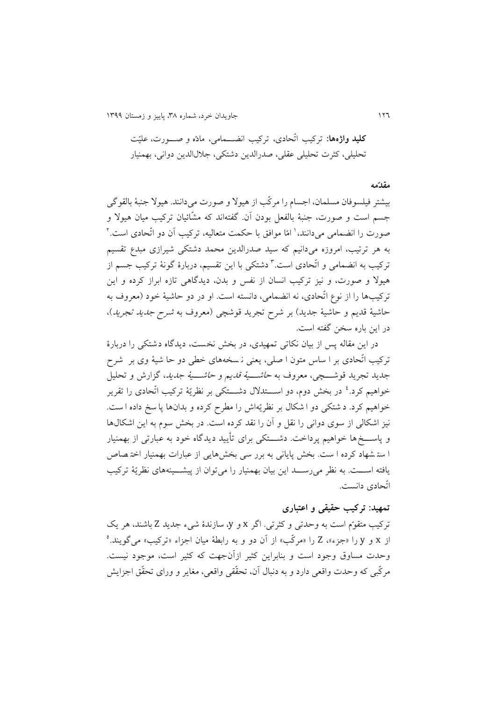211 جاويدان خرد، شماره ،83 پايیز و زمستان 2811

**كلید واژهها:** تركیب اتّحادي، تركیب انضررمامي، مادّه و صررورت، علیّت تحلیلي، كثرت تحلیلي عقلي، صدرالدين دشتكي، جال الدين دواني، بهمنیار

#### **مقدّمه**

بیشتر فیلسوفان مسلمان، اجسام را مركّب از هیو و صورت ميدانند. هیو جنبۀ بالقوگي جسم است و صورت، جنبۀ بالفعل بودن آن. گفتهاند كه مشّائیان تركیب میان هیو و صورت را انضمامی میدانند،' امّا موافق با حکمت متعالیه، ترکیب آن دو آتْحادی است.' به هر ترتیب، امروزه ميدانیم كه سید صدرالدين محمد دشتكي شیرازي مبدع تقسیم تركيب به انضمام*ی* و اتّحادی است.<sup>٦</sup> دشتكی با اين تقسیم، دربارهٔ گونهٔ تركيب جسم از هیو و صورت، و نیز تركیب انسان از نفس و بدن، ديدگاهي تازه ابراز كرده و اين تركیبها را از نوع اتّحادي، نه انضمامي، دانسته است. او در دو حاشیۀ خود )معروف به حاشيۀ قديم و حاشيۀ جديد) بر شرح تجريد قوشچي (معروف به *شرح جديد تجريد*)، در اين باره سخن گفته است.

در اين مقاله پس از بیان نكاتي تمهیدي، در بخش نخست، ديدگاه دشتكي را دربارة تركیب اتّحادي بر ا ساس متون ا صلي، يعني نـ سخههاي خطي دو حا شیۀ وي بر شرح جديد تجريد قوشــــچي، معروف به ح*اشــــيۀ قديم و حاشــــيۀ جديد*، گزارش و تحليل خواهیم كرد.<sup>، د</sup>ر بخش دوم، دو اســـتدلال دشـــتكى بر نظريّۀ تركيب اتّحادى را تقرير خواهیم كرد. د شتكي دو ا شكال بر نظريّهاش را مطرح كرده و بدانها پا سخ داده ا ست. نیز اشكالي از سوي دواني را نقل و آن را نقد كرده است. در بخش سوم به اين اشكال ها و پاســــخ ها خواهیم پرداخت. دشــــتكي براي تأيید ديدگاه خود به عبارتي از بهمنيار ا ست شهاد كرده ا ست. بخش پاياني به برر سي بخش هايي از عبارات بهمنیار اخت صاص يافته اســت. به نظر مي رســد اين بيان بهمنيار را مي توان از پيشـــينههاي نظريّۀ تركيب اتّحادي دانست.

#### **تمهید: تركیب حقیقی و اعتباري**

تركیب متقوّم است به وحدتي و كثرتي. اگر x و y، سازندة شيء جديد Z باشند، هر يك 1 از x و y را »جزء«، Z را »مركّب« از آن دو و به رابطۀ میان اجزاء »تركیب« ميگويند. وحدت مساوق وجود است و بنابراين كثیر ازآنجهت كه كثیر است، موجود نیست. مركّبي كه وحدت واقعي دارد و به دنبا آن، تحقّقي واقعي، مغاير و وراي تحقّق اجزايش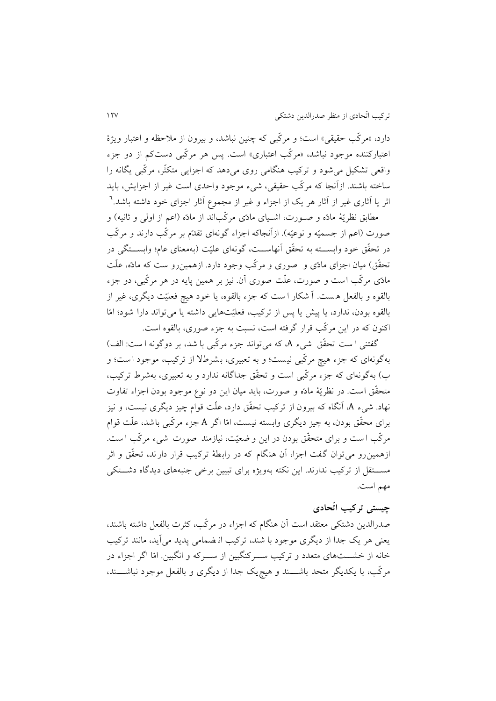دارد، »مركّب حقیقي« است؛ و مركّبي كه چنین نباشد، و بیرون از مالحظه و اعتبار ويژة اعتباركننده موجود نباشد، «مركّب اعتباري» است. پس هر مركّبي دستكم از دو جزء واقعي تشكیل ميشود و تركیب هنگامي روي ميدهد كه اجزايي متكثّر، مركّبي يگانه را ساخته باشند. ازآنجا كه مركّب حقیقي، شيء موجود واحدي است غیر از اجزايش، بايد 1 اثر يا آثاري غیر از آثار هر يك از اجزاء و غیر از مجموع آثار اجزاي خود داشته باشد.

مطابق نظريّۀ مادّه و صــورت، اشــياي مادّي مركّباند از مادّه (اعم از اولي و ثانيه) و صورت (اعم از جسمیّه و نوعیّه). ازآنجاكه اجزاء گونهای تقدّم بر مركّب دارند و مركّب در تحقّق خود وابســـته به تحقّق آنهاســـت، گونهاي علیّت (بهمعناي عام؛ وابســـتگي در تحقّق) میان اجزاي مادّي و صوري و مركّب وجود دارد. ازهمین٫و ست كه مادّه، علّت مادّي مركّب است و صورت، علّت صوري آن. نیز بر همین پايه در هر مركّبي، دو جزء بالقوه و بالفعل ه ست . آ شكار ا ست كه جزء بالقوه، يا خود هیچ فعلیّت ديگري، غیر از بالقوه بودن، ندارد، يا پیش يا پس از تركیب، فعلیّتهايي داشته يا ميتواند دارا شود؛ امّا اكنون كه در اين مركّب قرار گرفته است، نسبت به جزء صوري، بالقوه است.

گفتني ا ست تحقّق شيء A، كه ميتواند جزء مركّبي با شد، بر دوگونه ا ست: الف) بهگونهاي كه جزء هیچ مركّبي نی ست؛ و به تعبیري، ب شرط از تركیب، موجود ا ست ؛ و ب( بهگونهاي كه جزء مركّبي است و تحقّق جداگانه ندارد و به تعبیري، بهشرط تركیب، متحقّق است . در نظريّۀ مادّه و صورت، بايد میان اين دو نوع موجود بودن اجزاء تفاوت نهاد. شيء A، آنگاه كه بیرون از تركیب تحقّق دارد، علّت قوام چیز ديگري نیست، و نیز براي محقّق بودن، به چیز ديگري وابسته نیست، امّ ا اگر A جزء مركّبي باشد، علّت قوام مركّب ا ست و براي متحقّق بودن در اين و ضعیّ ت، نیازمند صورت شيء مركّب ا ست . ازهمینرو ميتوان گفت اجزا، آن هنگام كه در رابطۀ تركیب قرار دارند، تحقّق و اثر مســـتقل از تركیب ندارند. این نكته بهویژه برای تبیین برخی جنبههای دیدگاه دشـــتكی مهم است.

## **چیستی تركیب اتّحادي**

صدرالدين دشتكي معتقد است آن هنگام كه اجزاء در مركّب، كثرت بالفعل داشته باشند، يعني هر يك جدا از ديگري موجود با شند، تركیب ان ضمامي پديد مي آيد، مانند تركیب خانه از خشـــتهاي متعدد و تركيب ســـركنگبين از ســـركه و انگبين. امّا اگر اجزاء در مركّب، با يكديگر متحد باشـــند و هيچيك جدا از ديگري و بالفعل موجود نباشـــند،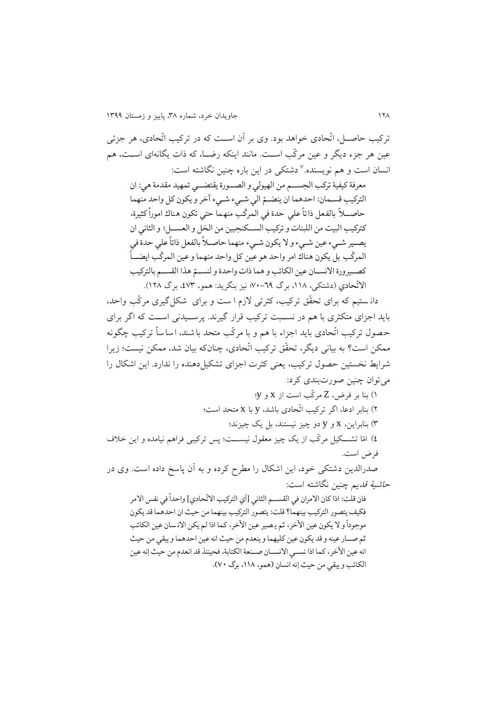تركیب حاصررل، اتّحادي خواهد بود. وي بر آن اسررت كه در تركیب اتّحادي، هر جزئي عین هر جزء دیگر و عین مركّب اسـت. مانند اینكه رضــا، كه ذات یگانهای اســت، هم نسان است و هم نویسنده.<sup>۷</sup> دشتکی در این باره چنین نگاشته است: معرفة كيفية تركب الجســم من الهيولي و الصــورة يقتضــي تمهيد مقدمة هي: ان التركيب قسـمان: احدهما ان ينضـمّ الى شـيء شـيء آخر و يكون كل واحد منهما ֦֧ حاصــــلا بالفعل ذاتا علي حدة في المركب منهما حتي تكون هناك امورا كثيرة، ĺ ŗ ۔<br>أ كتركيب البيت من اللبنات و تركيب الســكنجبين من الخل و العســـل؛ و الثاني ان يصير شميء عين شميء و لا يكون شميء منهما حاصلاً بالفعل ذاتاً على حدة في ۔<br>أ المركّب بلّ يكون هناك امر واحد هو عين كل واحد منهما و عين المركّب ايضــــاً -<br>أ كصــيرورة الانســان عين الكاتب و هما ذات واحدة و لنســمّ هذا القســم بالتركيب ֦֧ الاتّحادي (دشتكى، ۱۱۸، برگ ٦٩–٧٠؛ نيز بنگريد: همو، <sup>'</sup>٤٧٣، برگ ١٢٨). دان ستیم كه براي تحقّق تركیب، كثرتي زم ا ست و براي شكل گیري مركّب واحد، بايد اجزاي متكثري با هم در نسـبت تركيب قرار گيرند. پرسـيدني اسـت كه اگر براي ح صو تركیب اتّحادي بايد اجزاء با هم و با مركّب متحد با شند، اساساً تركیب چگونه ممكن است؟ به بیاني ديگر، تحقّق تركیب اتّحادي، چنانكه بیان شد، ممكن نیست؛ زيرا شرايط نخستین حصول تركیب، يعني كثرت اجزاي تشكیل دهنده را ندارد. اين اشكال را ميتوان چنین صورتبندي كرد: 2( بنا بر فرض، Z مركّب است از x و y؛ 1( بنابر ادعا، اگر تركیب اتّحادي باشد، y با x متحد است؛ 8( بنابراين، x و y دو چیز نیستند، بل يك چیزند؛ 1( امّا تشررركیل مركّب از يك چیز معقو نیسرررت؛ پس تركیبي فراهم نیامده و اين خالف فرض است. صدرالدين دشتكي خود، اين اشكال را مطرح كرده و به آن پاسخ داده است. وي در ح*اشیهٔ قدیم* چنین نگاشته است: فان قلٰت: اذاً كان الامران في القســـم الثاني [أي التركيب الاتّحادي] واحداً في نفس الامر ۔<br>آ فكيف يتصور التركيب بينهما؟ قلت: يتصور التركيب بينهما من حيث ان احدهما قد يكون موجودا و لا يكون عين الاخر، ثم يصير عين الاخر، كما اذا لم يكن الانسان عين الكاتب .<br>1 ثم صــار عينه و قد يكون عين كليهما و ينعدم من حيث انه عين احدهما و يبقى من حيث انه عين الآخر، كما اذا نســي الانســان صــنعة الكتابة، فحينئذ قد انعدم من حيث إنه عين الكاتب و يبقى من حيث إنه انسان (همو، ١١٨، برگ ٧٠).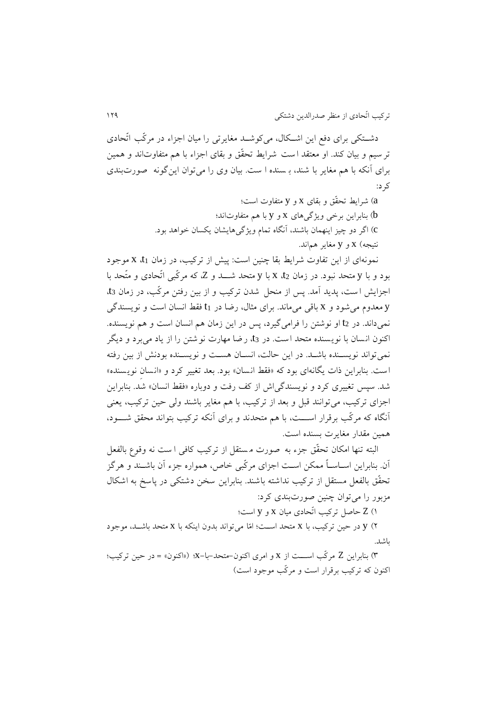دشــتكي براي دفع اين اشــكال، ميكوشــد مغايرتي را ميان اجزاء در مركّب اتّحادي تر سیم و بیان كند. او معتقد ا ست شرايط تحقّق و بقاي اجزاء با هم متفاوتاند و همین براي آنكه با هم مغاير با شند، ب سنده ا ست. بیان وي را ميتوان اينگونه صورت بندي كرد:

> a )شرايط تحقّق و بقاي x و y متفاوت است؛ b )بنابراين برخي ويژگيهاي x و y با هم متفاوتاند؛ c )اگر دو چیز اينهمان باشند، آنگاه تمام ويژگيهايشان يكسان خواهد بود. نتیجه( x و y مغاير هماند.

نمونهاي از اين تفاوت شرايط بقا چنین است: پیش از تركیب، در زمان 1t، x موجود بود و با <sup>y</sup> متحد نبود. در زمان 2t، x با <sup>y</sup> متحد شررد و Z، كه مركّبي اتّحادي و متّحد با اجزايش ا ست، پديد آمد. پس از منحل شدن تركیب و از بین رفتن مركّب، در زمان 3t، <sup>y</sup> معدوم ميشود و x باقي ميماند. براي مثا ، رضا در 1t فقط انسان است و نويسندگي نميداند. در 2t او نوشتن را فراميگیرد، پس در اين زمان هم انسان است و هم نويسنده. اكنون انسان با نويسنده متحد است. در 3t، رضا مهارت نوشتن را از ياد مي برد و ديگر نمي تواند نويسـنده باشـد. در اين حالت، انسـان هسـت و نويسـنده بودنش از بين رفته است. بنابراين ذات يگانهاي بود كه «فقط انسان» بود. بعد تغيير كرد و «انسان نويسنده» شد. سپس تغییري كرد و نويسندگياش از كف رفت و دوباره »فقط انسان« شد. بنابراين اجزاي تركیب، ميتوانند قبل و بعد از تركیب، با هم مغاير باشند ولي حین تركیب، يعني آنگاه كه مركّب برقرار اســـت، با هم متحدند و براي آنكه تركيب بتواند محقق شـــود، همین مقدار مغايرت بسنده است.

البته تنها امكان تحقّق جزء به صورت م ستقل از تركیب كافي ا ست نه وقوع بالفعل آن. بنابراين اسراسراً ممكن اسرت اجزاي مركّبي خاص، همواره جزء آن باشرند و هرگز تحقّق بالفعل مستقل از تركیب نداشته باشند. بنابراين سخن دشتكي در پاسخ به اشكا مزبور را ميتوان چنین صورتبندي كرد:

2( Z حاصل تركیب اتّحادي میان x و y است؛

1( y در حین تركیب، با x متحد اسررت؛ امّا ميتواند بدون اينكه با x متحد باشررد، موجود باشد.

8( بنابراين Z مركّب اسرررت از x و امري اكنون-متحد -با-x؛ )»اكنون« = در حین تركیب؛ اكنون كه تركیب برقرار است و مركّب موجود است(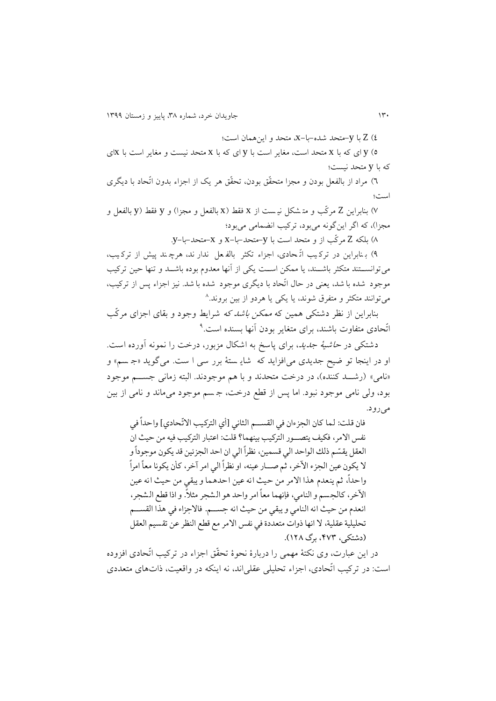1( Z با y-متحد شده-با-x، متحد و اينهمان است؛

1( y اي كه با x متحد است، مغاير است با y اي كه با x متحد نیست و مغاير است با xاي كه با y متحد نیست؛

٦) مراد از بالفعل بودن و مجزا متحقّق بودن، تحقّق هر يک از اجزاء بدون اتّحاد با ديگري است؛

1( بنابراين Z مركّب و مت شكل نی ست از x فقط )x بالفعل و مجزا( و y فقط )y بالفعل و مجزا(، كه اگر اينگونه ميبود، تركیب انضمامي ميبود؛

3( بلكه Z مركّب از و متحد است با y-متحد-با-x و x-متحد-با-y.

1( ب نابراين در ترك یب اتّ حاد ي، اجزاء تكثر بالف عل ندار ند، هرچ ند پیش از ترك یب، مي توانســـتند متكثر باشـــند، يا ممكن اســت يكي از آنها معدوم بوده باشـــد و تنها حين تركيب موجود شده با شد، يعني در حال اتّحاد با ديگري موجود شده با شد. نيز اجزاء پس از تركيب، ميتوانند متكثر و متفرق شوند، يا يكي يا هردو از بین بروند. 3

بنابراين از نظر دشتكي همین كه *ممكن باشد كه* شرايط وجود و بقاي اجزاي مركّب تّحادی متفاوت باشند، برای متغاير بودن آنها بسنده است.<sup>۹</sup>

دشتكي در *حاشیۀ جدید*، براي پاسخ به اشكال مزبور، درخت را نمونه آورده است. او در اينجا تو ضیح جديدي ميافزايد كه شاي ستۀ برر سي ا ست. ميگويد »ج سم « و «نامي» (رشـد كننده)، در درخت متحدند و با هم موجودند. البته زماني جسـم موجود بود، ولي نامي موجود نبود. اما پس از قطع درخت، ج سم موجود مي ماند و نامي از بین ميرود.

.<br>فان قلت: لما كان الجزءان في القســم الثاني [أي التركيب الاتّحادي] واحداً في ۔<br>آ نفس الامر، فكيف يتصــور التركيب بينهما؟ قلت: اعتبار التركيب فيه من حيث ان العقل يقسّم ذلك الواحد الي قسمين، نظراً الي ان احد الجزئين قد يكون موجوداً و ۔<br>آ ֦֧ لا يكون عين الجزء الآخر، ثم صـــار عينه، او نظراً الىي امر آخر، كأن يكونا معاً امراً Í ا ۔<br>ا واحداً، ثم ينعدم هذا الامر من حيث انه عين احدهما و يبقى من حيث انه عين -<br>1 الآخر، كالجسم و النامي، فإنهما معاً امر واحد هو الشجر مثلاً. و اذا قطع الشجر، انعدم من حيث انه النامي و يبقى من حيث انه جسم. فالاجزاء في هذا القسم تحليلية عقلية، لا انها ذوات متعددة في نفس الامر مع قطع النظر عن تقسيم العقل (دشتکی، ۴۷۳، برگ ۱۲۸).

در اين عبارت، وي نكتۀ مهمي را دربارة نحوة تحقّق اجزاء در تركیب اتّحادي افزوده است: در تركیب اتّحادي، اجزاء تحلیلي عقلياند، نه اينكه در واقعیت، تاتهاي متعددي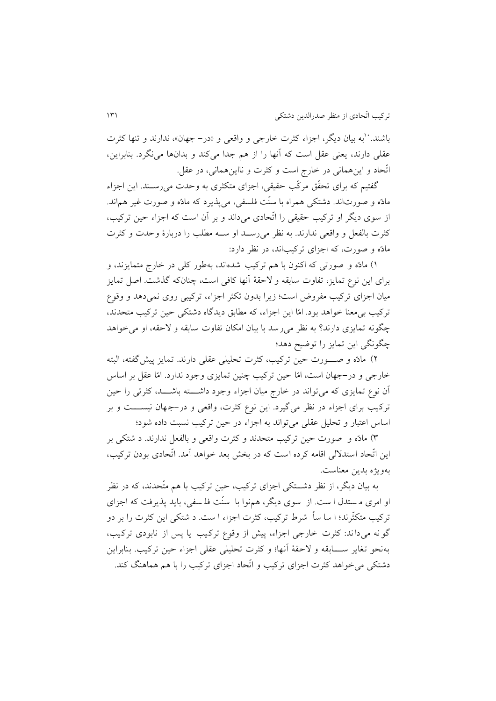باشند. ``به بیان دیگر، اجزاء كثرت خارجي و واقعي و «در- جهان»، ندارند و تنها كثرت عقلي دارند، يعني عقل است كه آنها را از هم جدا ميكند و بدانها مينگرد. بنابراين، اتّحاد و اينهماني در خارج است و كثرت و نااينهماني، در عقل.

گفتیم كه براي تحقّق مركّب حقیقي، اجزاي متكثري به وحدت ميرسرند. اين اجزاء مادّه و صورتاند. دشتكي همراه با سنّت فلسفي، ميپذيرد كه مادّه و صورت غیر هماند. از سوي ديگر او تركیب حقیقي را اتّحادي ميداند و بر آن است كه اجزاء حین تركیب، كثرت بالفعل و واقعي ندارند. به نظر مي رسـد او سـه مطلب را دربارهٔ وحدت و كثرت مادّه و صورت، كه اجزاي تركیباند، در نظر دارد:

2( مادّه و صورتي كه اكنون با هم تركیب شده اند، بهطور كلي در خارج متمايزند، و براي اين نوع تمايز، تفاوت سابقه و لاحقۀ آنها كافي است، چنانكه گذشت. اصل تمايز میان اجزاي تركیب مفروض است؛ زيرا بدون تكثر اجزاء، تركیبي روي نميدهد و وقوع تركیب بيمعنا خواهد بود. امّا اين اجزاء، كه مطابق ديدگاه دشتكي حین تركیب متحدند، چگونه تمايزي دارند؟ به نظر مي رسد با بيان امكان تفاوت سابقه و لاحقه، او مي خواهد چگونگي اين تمايز را توضیح دهد؛

1( مادّه و صرررورت حین تركیب، كثرت تحلیلي عقلي دارند. تمايز پیش گفته ، البته خارجي و در-جهان است، امّا حین تركیب چنین تمايزي وجود ندارد. امّا عقل بر اساس آن نوع تمايزي كه مي تواند در خارج میان اجزاء وجود داشرررته باشرررد، كثرتي را حین تركيب براي اجزاء در نظر مي گيرد. اين نوع كثرت، واقعي و در-جهان نيســـت و بر اساس اعتبار و تحلیل عقلي ميتواند به اجزاء در حین تركیب نسبت داده شود؛

8( مادّه و صورت حین تركیب متحدند و كثرت واقعي و بالفعل ندارند. د شتكي بر اين اتّحاد استد لي اقامه كرده است كه در بخش بعد خواهد آمد. اتّحادي بودن تركیب، بهويژه بدين معناست.

به بیان ديگر، از نظر دشررتكي اجزاي تركیب، حین تركیب با هم متّحدند، كه در نظر او امري م ستدل ا ست. از سوي ديگر، همنوا با سنّت فلـسفي، بايد پذيرفت كه اجزاي تركیب متكثّرند؛ ا سا ساً شرط تركیب، كثرت اجزاء ا ست. د شتكي اين كثرت را بر د و گو نه مي داند: كثرت خارجي اجزاء، پیش از وقوع تركيب يا پس از نابودي تركيب، به نحو تغاير ســــابقه و لاحقۀ آنها؛ و كثرت تحليلي عقلي اجزاء حين تركيب. بنابراين دشتكي ميخواهد كثرت اجزاي تركیب و اتّحاد اجزاي تركیب را با هم هماهنگ كند.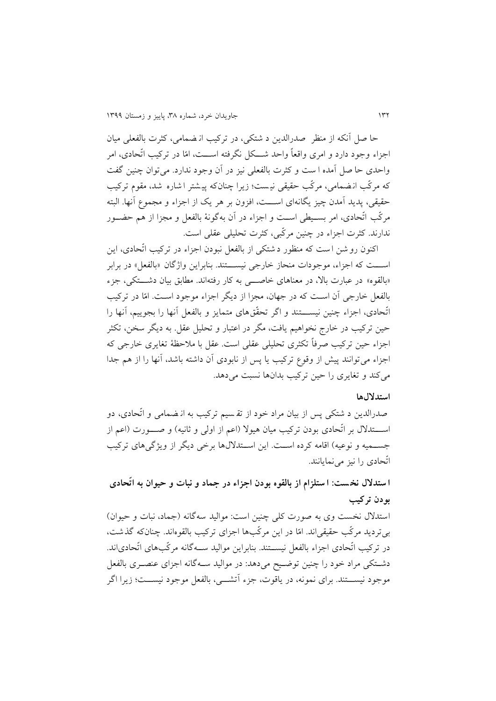حا صل آنكه از منظر صدرالدين د شتكي، در تركیب ان ضمامي، كثرت بالفعلي میان اجزاء وجود دارد و امري واقعاً واحد شرركل نگرفته اسررت، امّا در تركیب اتّحادي، امر واحدي حا صل آمده ا ست و كثرت بالفعلي نیز در آن وجود ندارد. مي توان چنین گفت كه مركّب انـضمامي، مركّب حقيقي نيـست؛ زيرا چنانكه پيـشتر ا شاره شد، مقوم تركيب حقیقي، پديد آمدن چیز يگانهاي اســـت، افزون بر هر يک از اجزاء و مجموع آنها. البته مركّب اتّحادي، امر بسرریطي اسررت و اجزاء در آن بهگونۀ بالفعل و مجزا از هم حضررور ندارند. كثرت اجزاء در چنین مركّبي، كثرت تحلیلي عقلي است.

اكنون رو شن ا ست كه منظور د شتكي از بالفعل نبودن اجزاء در تركیب اتّحادي، اين اســـت كه اجزاء، موجودات منحاز خارجي نيســـتند. بنابراين واژگان «بالفعل» در برابر «بالقوه» در عبارت بالا، در معناهاي خاص<sub>سي</sub> به كار رفتهاند. مطابق بیان دشــــتكي، جزء بالفعل خارجي آن است كه در جهان، مجزا از ديگر اجزاء موجود است. امّا در تركيب اتّحادي، اجزاء چنین نیســـتند و اگر تحقّقهاي متمايز و بالفعل آنها را بجويیم، آنها را حین تركیب در خارج نخواهیم يافت، مگر در اعتبار و تحلیل عقل. به ديگر سخن، تكثر اجزاء حین تركیب صرفاً تكثري تحلیلي عقلي است. عقل با مالحظۀ تغايري خارجي كه اجزاء ميتوانند پیش از وقوع تركیب يا پس از نابودي آن داشته باشد، آنها را از هم جدا ميكند و تغايري را حین تركیب بدانها نسبت ميدهد.

### **استداللها**

صدرالدين د شتكي پس از بيان مراد خود از تقـسيم تركيب به از ضمامي و اتّحادي، دو اســـتدلال بر اتّحادي بودن تركیب میان هیولا (اعم از اولي و ثانیه) و صـــورت (اعم از جســمیه و نوعیه) اقامه كرده اســت. اين اســتدلالها برخي ديگر از ويژگيهاي تركيب اتّحادي را نیز مينمايانند.

**ا ستدالل نخ ست: ا ستلزام از بالقوه بودن اجزاء در جماد و نبات و حیوان به اتّحادي بودن تركیب**

استدلال نخست وي به صورت كلي چنین است: موالید سهگانه (جماد، نبات و حیوان) بيترديد مركّب حقیقياند. امّا در اين مركّبها اجزاي تركیب بالقوهاند. چنانكه گذشت، در تركیب اتّحادي اجزاء بالفعل نیســتند. بنابراین موالید ســهگانه مركّبهاي اتّحادياند. دشتكي مراد خود را چنین توضیح ميدهد: در موالید سـهگانه اجزاي عنصـري بالفعل موجود نیســـتند. براي نمونه، در ياقوت، جزء آتشـــي، بالفعل موجود نیســـت؛ زيرا اگر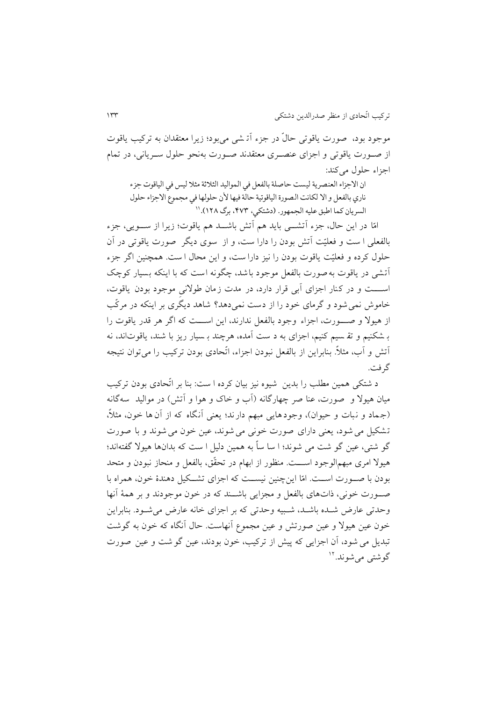موجود بود، صورت ياقوتي حالٌ در جزء آتـ شي مي بود؛ زيرا معتقدان به تركيب ياقوت از صرورت ياقوتي و اجزاي عنصرري معتقدند صرورت بهنحو حلو سررياني، در تمام اجزاء حلول مي كند:

ان الاجزاء العنصرية ليست حاصلة بالفعل في المواليد الثلاثة مثلا ليس في الياقوت جزء ناري بالفعل و الا لكانت الصورة الياقوتية حالة فيها لأن حلولها في مجموع الاجزاء حلول السريان كما اطبق عليه الجمهور. (دشتكي، ۴۷۳، برگ ۱۲۸).''

امّا در اين حال، جزء آتشـــي بايد هم آتش باشـــد هم ياقوت؛ زيرا از ســـويي، جزء بالفعلي ا ست و فعلیّت آتش بودن را دارا ست ، و از سوي ديگر صورت ياقوتي در آن حلول كرده و فعلیّت ياقوت بودن را نيز دارا ست، و اين محال ا ست. همچنين اگر جزء آتشي در ياقوت به صورت بالفعل موجود باشد، چگونه است كه با اينكه بسیار كوچك اسست و در كنار اجزاي آبي قرار دارد، در مدت زمان طولاني موجود بودن ياقوت، خاموش نميشود و گرماي خود را از دست نمي دهد؟ شاهد ديگري بر اينكه در مركّب از هیولا و صـــورت، اجزاء وجود بالفعل ندارند، اين اســـت كه اگر هر قدر ياقوت را ب شكنیم و تق سیم كنیم، اجزاي به د ست آمده، هرچند ب سیار ريز با شند، ياقوت اند، نه آتش و آب، مثال.ً بنابراين از بالفعل نبودن اجزاء، اتّحاد ي بودن تركیب را مي توان نتیجه گرفت.

د شتكي همین مطلب را بدين شیوه نیز بیان كرده ا ست: بنا بر اتّحادي بودن تركیب میان هیو و صورت، عنا صر چهارگانه )آب و خاك و هوا و آتش( در موالید سه گانه (جماد و نبات و حیوان)، وجودهايي مبهم دارند؛ يعني آنگاه كه از آن ها خون، مثلاً، تشكیل مي شود، يعني داراي صورت خوني مي شوند، عین خون مي شوند و ب ا صورت گو شتي، عین گو شت مي شوند؛ ا سا ساً به همین دلیل ا ست كه بدان ها هیو گفتهاند؛ هیولا امری مبهمالوجود اســـت. منظور از ابهام در تحقّق، بالفعل و منحاز نبودن و متحد بودن با صـورت اســت. امّا اين چنين نيســت كه اجزاي تشــكيل دهندهٔ خون، همراه با صررورت خوني، تاتهاي بالفعل و مجزايي باشررند كه در خون موجودند و بر همۀ آنها وحدتي عارض شرده باشرد ، شربیه وحدتي كه بر اجزاي خانه عارض مي شرود. بنابراين خون عین هیولا و عین صورتش و عین مجموع آنهاست. حال آنگاه كه خون به گوشت تبديل مي شود، آن اجزايي كه پيش از تركيب، خون بودند، عين گو شت و عين صورت گوشتي ميشوند.<sup>۱۲</sup>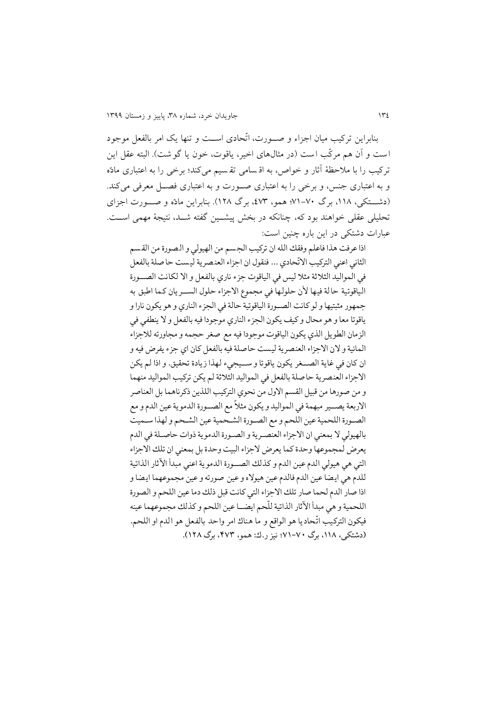بنابراين تركیب میان اجزاء و صررورت، اتّحادي اسررت و تنها يك امر بالفعل موجود است و آن هم مركّب است (در مثالهاي اخیر، ياقوت، خون يا گوشت). البته عقل اين تركیب را با مالحظۀ آثار و خواص، به اق سامي تق سیم مي كند؛ برخي را به اعتباري مادّه و به اعتباري جنس، و برخي را به اعتباري صررورت و به اعتباري فصررل معرفي ميكند. )دشررتكي، ،223 برگ 12-17؛ همو، ،118 برگ 213(. بنابراين مادّه و صررورت اجزاي تحلیلي عقلي خواهند بود كه، چنانكه در بخش پیشررین گفته شررد، نتیجۀ مهمي اسررت. عبارات دشتكي در اين باره چنین است:

اذا عرفت هذا فاعلم وفقك الله ان تركيب الجسم من الهيولي و الصورة من القسم ، .<br>الثاني اعني التركيب الاتّحادي ... فنقول ان اجزاء العنصرية ليست حا صلة بالفعل في المواليد الثلاثة مثلا ليس في الياقوت جزء ناري بالفعل و الا لكانت الصـــورة الياقوتية حالة فيها لأن حلولها في مجموع الاجزاء حلول السـريان كما اطبق به جمهور مثبتيها و لو كانت الصورة الياقوتية حالة في الجزء الناري و هو يكون نارا و ياقوتا معا و هو محال و كيف يكون الجزء الناري موجودا فيه بالفعل و لا ينطفي في الزمان الطويل الذي يكون الياقوت موجودا فيه مع صغر حجمه و مجاورته للاجزاء المائية و لان الاجزاء العنصرية ليست حاصلة فيه بالفعل كان اي جزء يفرض فيه و ان كان في غاية الصــغر يكون ياقوتا و ســيجيء لهذا زيادة تحقيق. و اذا لم يكن الاجزاء العنصرية حاصلة بالفعل في المواليد الثلاثة لم يكن تركيب المواليد منهما و من صورها من قبيل القسم الاول من نحوي التركيب اللذين ذكرناهما بل العناصر الاربعة يصـــير مبهمة في المواليد و يكون مثلا مع الصــورة الدموية عين الدم و مع ֞ الصـورة اللحمية عين اللحم و مع الصـورة الشـحمية عين الشـحم و لهذا سـميت بالهيولي لا بمعنى ان الاجزاء العنصرية و الصورة الدموية ذوات حاصلة في الدم يعرض لمجموعها وحدة كما يعرض لاجزاء البيت وحدة بل بمعنى ان تلك الاجزاء التي هي هيولي الدم عين الدم و كذلك الصوررة الدموية اعني مبدأ الآثار الذاتية للدم هي ايضا عين الدم فالدم عين هيولاه و عين صورته و عين مجموعهما ايضا و اذا صار الدم لحما صار تلك الاجزاء التي كانت قبل ذلك دما عين اللحم و الصورة اللحمية و هي مبدأ الاثار الذاتية للحم ايضــا عين اللحم و كذلك مجموعهما عينه .<br>آ .<br>فيكون التركيب اتّحاديا هو الواقع و ما هناك امر واحد بالفعل هو الدم او اللحم. (دشتکی، ۱۱۸، برگ ۷۰-۷۱؛ نيز ر.ك: همو، ۴۷۳، برگ ۱۲۸).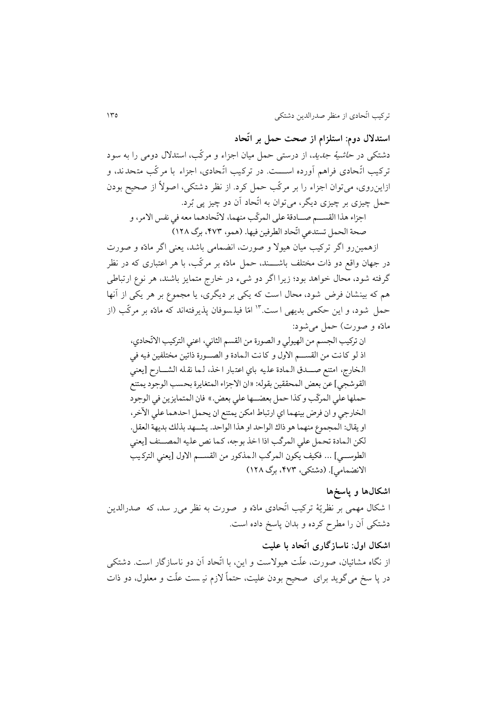**استدالل دوم: استلزام از صحت حمل بر اتّحاد**

دشتكي در *حاشيۀ جديد*، از درستي حمل ميان اجزاء و مركّب، استدلال دومي را به سود تركیب اتّحادی فراهم آورده اســـت. در تركیب اتّحادی، اجزاء با مركّب متحدند، و ازاينروي، ميتوان اجزاء را بر مركّب حمل كرد. از نظر دشتكي، اصو ً از صحیح بودن حمل چیزي بر چیزي ديگر، ميتوان به اتّحاد آن دو چیز پي بُرد.

اجزاء هذا القســـم صـــادقة على المركّب منهما، لاتّحادهما معه في نفس الامر، و صاة الاقن تست يو اتا: الطرفيا فيو.: )هقي، ،304 لرگ 121(

ازهمینرو اگر تركیب میان هیو و صورت، انضمامي باشد، يعني اگر مادّه و صورت در جهان واقع دو ذات مختلف باشــــند، حمل مادّه بر مركّب، با هر اعتباري كه در نظر گرفته شود، محال خواهد بود؛ زيرا اگر دو شيء در خارج متمايز باشند، هر نوع ارتباطي هم كه بینشان فرض شود، محال است كه يكي بر ديگري، يا مجموع بر هر يكي از آنها حمل شود، و اين حكمي بديهي است." امّا فيلسوفان پذيرفتهاند كه مادّه بر مركّب (از مادّه و صورت) حمل مي شود:

ان تركيب الجسم من الهيولي و الصورة من القسم الثاني، اعني التركيب الاتّحادي، اذ لو كانت من القســم الاول و كانت الـمادة و الصــورة ذاتين مختلفين فيه في الخارج، امتنع صــدق الـمادة عليه باي اعتبار اخذ، لـما نقله الشــارح [يعني القوشجي] عن بعض المحققين بقوله: «ان الاجزاء المتغايرة بحسب الوجود يمتنع حملها علي المركّب و كذا حمل بعضـــها علي بعض.» فان المتمايزين في الوجود الخارجي و ان فرض بينهما اي ارتباط امكن يمتنع ان يحمل احدهما على الآخر، او يقال: المجموع منهما هو ذاك الواحد او هذا الواحد. يشــهد بذلك بديهة العقل. لكن المادة تحمل علي المركّب اذا اخذ بوجه، كما نص عليه المصــنف [يعني ا<br>الطوســـي] ... فكيف يكون المركّب الـمذكور من القســـم الاول [يعني التركـيب الانضمامی]. (دشتکی، ۴۷۳، برگ ۱۲۸)

#### **اشكالها و پاسخها**

ا شكال مهمي بر نظريّۀ تركيب اتّحادي مادّه و صورت به نظر مي ر سد، كه صدرالدين دشتكي آن را مطر كرده و بدان پاسخ داده است.

## **اشكال اول: ناسازگاري اتّحاد با علیت**

از نگاه مشائیان، صورت، علّت هیو ست و اين، با اتّحاد آن دو ناسازگار است. دشتكي در پا سخ مي گويد براي صحیح بودن علیت، حتماً زم نی ست علّت و معلو ، دو تات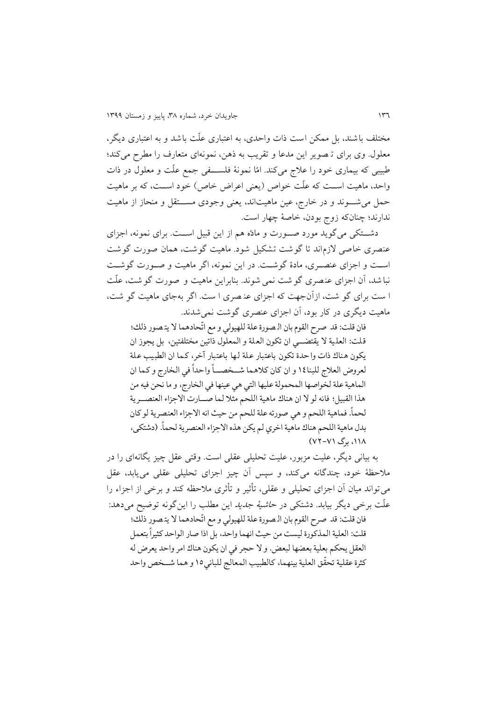مختلف باشند، بل ممكن است تات واحدي، به اعتباري علّت باشد و به اعتبار ي ديگر، معلول. وي براي تـ صوير اين مدعا و تقريب به ذهن، نمونهاي متعارف را مطرح ميكند؛ طبیبی كه بیماری خود را علاج میكند. امّا نمونۀ فلســـفی جمع علّت و معلول در ذات واحد، ماهیت است كه علّت خواص (يعني اعراض خاص) خود اسـت، كه بر ماهيت حمل می شـــوند و در خارج، عین ماهیتاند، یعنی وجودی مســـتقل و منحاز از ماهیت ندارند؛ چنانكه زوج بودن، خاصۀ چهار است.

دشــتكي ميگويد مورد صــورت و مادّه هم از اين قبيل اســت. براي نمونه، اجزاي عنصري خاصي لازماند تا گوشت تشكيل شود. ماهيت گوشت، همان صورت گوشت اسرت و اجزاي عنصرري، مادة گوشرت. در اين نمونه، اگر ماهیت و صرورت گوشرت نبا شد، آن اجزاي عن صري گو شت نمي شوند. بنابراين ماهیت و صورت گو شت، علّت ا ست براي گو شت، از آنجهت كه اجزاي عن صري ا ست. اگر به جاي ماهیت گو شت، ماهیت ديگري در كار بود، آن اجزاي عنصري گوشت نميشدند.

فان قلت: قد صرح القوم بان الـصورة علة للهيولي و مع اتّحادهما لا يتـصور ذلك؛ قلت: العلمية لا يقتضـــي ان تكون العلة و المعلول ذاتين مختلفتين، بل يجوز ان يكون هناك ذات واحدة تكون باعتبار علة لها باعتبار آخر، كما ان الطبيب علة لعروض العلاج للبنا١٤ و ان كان كلاهما شــخصـــاً واحداً في الخارج و كما ان ۔<br>آ الماهية علة لخواصها المحمولة عليها التي هي عينها في الخارج، و ما نحن فيه من هذا القبيل؛ فانه لو لا ان هناك ماهية اللحم مثلا لما صـارت الاجزاء العنصــرية لحما. فماهية اللحم و هي صورته علة للحم من حيث انه الاجزاء العنصرية لو كان أ بدل ماهية اللحم هناك ماهية اخري لم يكن هذه الاجزاء العنصرية لحما. (دشتكي، ∶<br>Í ۱۱۸، برگ ۷۱–۷۲)

به بیاني ديگر، علیت مزبور، علیت تحلیلي عقلي است. وقتي عقل چیز يگانهاي را در مالحظۀ خود، چندگانه ميكند، و سپس آن چیز اجزاي تحلیلي عقلي مييابد، عقل ميتواند میان آن اجزاي تحلیلي و عقلي، تأثیر و تأثري مالحظه كند و برخي از اجزاء را علّت برخي ديگر بیابد. دشتكي در حاشیۀ جديد اين مطلب را اينگونه توضیح ميدهد: .<br>فان قلت: قد صرح القوم بان الـصورة علة للهيولي و مع اتّحادهما لا يتـصور ذلك؛ قلت: العلية المذكورة ليست من حيث انهما واحد، بل اذا صار الواحد كثيراً بتعمل ۔<br>آ العقل يحكم بعلية بعضها لبعض. و لا حجر في ان يكون هناك امر واحد يعرض له كثرة عقلية تحقق العلية بينهما، كالطبيب المعالج للباني١٥ و هما شــخص واحد ֦֧֦֧֦֧֦֧֦֧֦֧֦֧֦֧֦֧֦֧ׅ֧֦֧֝֝֝֝֝֝֝֜֓֓֝֝֓֞֝<br>֧֪֪֧֪֪֚֝֝֝֝֝֝֬֝֝֝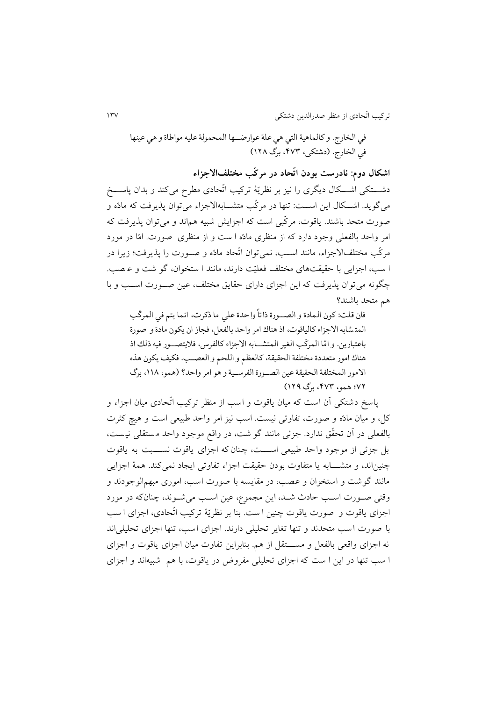في الخارج. و كالماهية التي هي علة عوارضــها المحمولة عليه مواطاة و هي عينها فی الخارج. (دشتکی، ۴۷۳، برگ ۱۲۸)

**اشكال دوم: نادرست بودن اتّحاد در مركّب مختلفاالجزاء** دشـــتكي اشـــكال ديگرى را نيز بر نظريّۀ تركيب اتّحادى مطرح ميكند و بدان پاســـخ مي گويد. اشــكال اين اســت: تنها در مركّب متشـــابهالاجزاء مي توان پذيرفت كه مادّه و صورت متحد باشند. ياقوت، مركّبي است كه اجزايش شبیه هماند و ميتوان پذيرفت كه امر واحد بالفعلي وجود دارد كه از منظري مادّه ا ست و از منظري صورت. امّا در مورد مركّب مختلفا جزاء، مانند اسرب، نميتوان اتّحاد مادّه و صرورت را پذيرفت؛ زيرا در ا سب، اجزايي با حقیقت هاي مختلف فعلیّت دارند، مانند ا ستخوان، گو شت و ع صب. چگونه ميتوان پذيرفت كه اين اجزاي داراي حقايق مختلف، عین صررورت اسررب و با هم متحد باشند؟

فان قلت: كون الـمادة و الصـــورة ذاتا واحدة علي ما ذكرت، انـما يتم في المركب ۔<br>ا  $\ddot{\phantom{0}}$ المتشابه الاجزاء كالياقوت، اذ هناك امر واحد بالفعل، فجاز ان يكون مادة و صورة باعتبارين. و امّا المركّب الغير المتشـــابه الاجزاء كالفرس، فلايتصـــور فيه ذلك اذ هناك امور متعددة مختلفة الحقيقة، كالعظم و اللحم و العصـب. فكيف يكون هذه الامور المختلفة الحقيقة عين الصورة الفرسـية و هو امر واحد؟ (همو، ١١٨، برگ 02؛ هقي، ،304 لرگ 121(

پاسخ دشتكي آن است كه میان ياقوت و اسب از منظر تركیب اتّحادي میان اجزاء و كل، و میان مادّه و صورت، تفاوتي نیست. اسب نیز امر واحد طبیعي است و هیچ كثرت بالفعلي در آن تحقّق ندارد. جزئي مانند گو شت، در واقع موجود واحد م ستقلي نی ست، بل جزئي از موجود واحد طبیعي اسرررت، چنان كه اجزاي ياقوت نسررربت به ياقوت چنیناند، و متشـابه يا متفاوت بودن حقیقت اجزاء تفاوتي ايجاد نمي كند. همۀ اجزايي مانند گوشت و استخوان و عصب، در مقايسه با صورت اسب، اموري مبهم الوجودند و وقتي صرورت اسرب حادث شرد، اين مجموع، عین اسرب ميشروند، چنانكه در مورد اجزاي ياقوت و صورت ياقوت چنین ا ست. بنا بر نظريّۀ تركیب اتّحادي، اجزاي ا سب با صورت اسب متحدند و تنها تغاير تحلیلي دارند. اجزاي اسب، تنها اجزاي تحلیلي اند نه اجزاي واقعي بالفعل و مســــتقل از هم. بنابراين تفاوت ميان اجزاي ياقوت و اجزاي ا سب تنها در اين ا ست كه اجزاي تحلیلي مفروض در ياقوت، با هم شبیه اند و اجزاي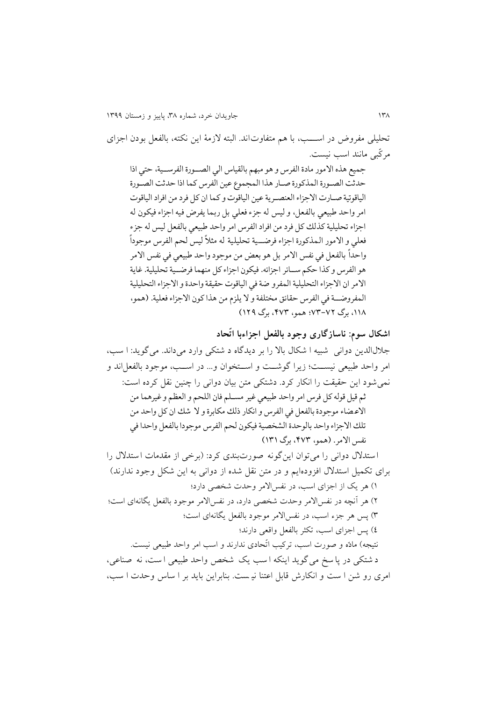تحلیلي مفروض در اســـب، با هم متفاوت اند. البته لازمۀ اين نكته، بالفعل بودن اجزاي مركّبي مانند اسب نیست. جميع هذه الامور مادة الفرس و هو مبهم بالقياس الى الصـورة الفرسـية، حتى اذا حدثت الصـورة المذكورة صـار هذا المجموع عين الفرس كما اذا حدثت الصـورة الياقوتية صـارت الاجزاء العنصـرية عين الياقوت و كما ان كل فرد من افراد الياقوت امر واحد طبيعي بالفعل، و ليس له جزء فعلى بل ربما يفرض فيه اجزاء فيكون له اجزاء تحليلية كذلك كل فرد من افراد الفرس امر واحد طبيعي بالفعل ليس له جزء فعلي و الامور المذكورة اجزاء فرضــية تحليلية له مثلاً ليس لحم الفرس موجوداً ۔<br>ا واحدا بالفعل في نفس الأمر بل هو بعض من موجود واحد طبيعي في نفس الأمر ۔<br>ا هو الفرس و كذا حكم سـائر اجزائه. فيكون اجزاء كل منهما فرضـية تحليلية. غاية الامر ان الاجزاء التحليلية المفرو ضة في الياقوت حقيقة واحدة و الاجزاء التحليلية المفروضـة في الفرس حقائق مختلفة و لا يلزم من هذا كون الاجزاء فعلية. (همو، ،111 لرگ 04-02؛ هقي، ،304 لرگ 121(

**اشكال سوم: ناسازگاري وجود بالفعل اجزاءبا اتّحاد** جال الدين دواني شبیه ا شكا با را بر ديدگاه د شتكي وارد مي داند. ميگويد: ا سب ، امر واحد طبیعي نیسررت؛ زيرا گوشررت و اسررتخوان و... در اسررب، موجود بالفعل اند و نميشود اين حقیقت را انكار كرد. دشتكي متن بیان دواني را چنین نقل كرده است: ثم قين قيلو كن فر امر ااه طبيعو غير مسم م ف:ن ال ام ا العظم ا غيرهق: ما ا ي م:آ ميجي ت ل:لفعن فو الفر ا انا:ق تلك ما:لرت ا شك ان كن ااه ما ت ك ا جزاآ ااه ل:ليه ت الش رية فياين لام الفر ميجي ا ل:لفعن ااه ا فو نفس ا مر. )هقي، ،304 لرگ 141( ا ستد دواني را مي توان اينگونه ص ورتبندي كرد: )برخي از مقدمات ا ستد را براي تكمیل استد افزودهايم و در متن نقل شده از دواني به اين شكل وجود ندارند( 2( هر يك از اجزاي اسب، در نفسا مر وحدت شخصي دارد؛ 1( هر آن ه در نفسا مر وحدت شخصي دارد، در نفسا مر موجود بالفعل يگانهاي است؛ 8( پس هر جزء اسب، در نفسا مر موجود بالفعل يگانهاي است؛ 1( پس اجزاي اسب، تكثر بالفعل واقعي دارند؛ نتیجه( مادّه و صورت اسب، تركیب اتّحادي ندارند و اسب امر واحد طبیعي نیست. د شتكي در پا سخ مي گويد اينكه ا سب يك شخص واحد طبیعي ا ست، نه صناعي، امري رو شن ا ست و ان كارش قابل اعتنا نی ست. بنابراين بايد بر ا ساس وحدت ا سب،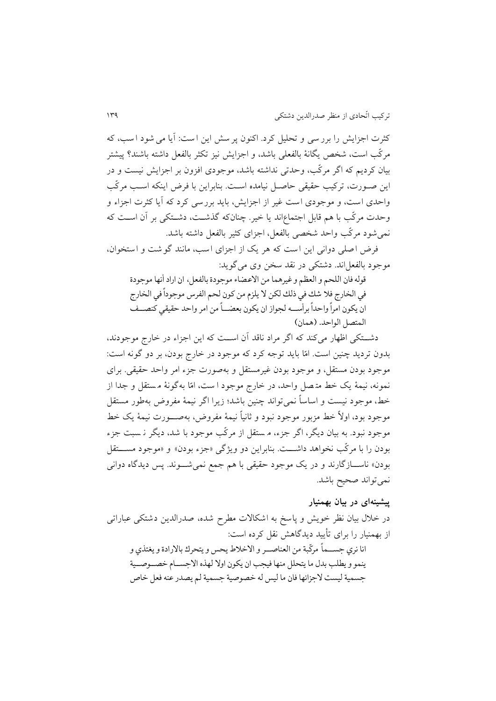كثرت اجزايش را برر سي و تحليل كرد. اكنون پر سش اين است: آيا مي شود اسب، كه مركّب است، شخص يگانۀ بالفعلي باشد، و اجزايش نیز تكثر بالفعل داشته باشند؟ پیشتر بیان كرديم كه اگر مركّب، وحدتي نداشته باشد، موجودي افزون بر اجزايش نیست و در اين صرورت، تركیب حقیقي حاصرل نیامده اسرت. بنابراين با فرض اينكه اسرب مركّب واحدي است، و موجودي است غیر از اجزايش، بايد بررسي كرد كه آيا كثرت اجزاء و وحدت مركّب با هم قابل اجتماعاند يا خیر. چنانكه گذشرت، دشرتكي بر آن اسرت كه نميشود مركّب واحد شخصي بالفعل، اجزاي كثیر بالفعل داشته باشد.

فرض اصلي دواني اين است كه هر يك از اجزاي اسب، مانند گوشت و استخوان، موجود بالفعلاند. دشتكي در نقد سخن وي ميگويد:

قوله فان اللحم و العظم و غيرهما من الاعضاء موجودة بالفعل، ان اراد أنها موجودة في الخارج فلا شك في ذلك لكن لا يلزم من كون لحم الفرس موجوداً في الخارج ۔<br>ا ان يكون امراً واحداً برأســـه لجواز ان يكون بعضـــاً من امر واحد حقيقي كنصـــف Í المتصل الواحد. (همان)

دشــتكي اظهار ميكند كه اگر مراد ناقد آن اســت كه اين اجزاء در خارج موجودند، بدون ترديد چنین است. امّا بايد توجه كرد كه موجود در خارج بودن، بر دو گونه است: موجود بودن مستقل، و موجود بودن غیرمستقل و بهصورت جزء امر واحد حقیقي. براي نمونه، نیمۀ يك خط مت صل واحد، در خارج موجود ا ست، امّا بهگونۀ م ستقل و جدا از خط، موجود نیست و اساساً نمي تواند چنین باشد؛ زيرا اگر نیمۀ مفروض بهطور مس تقل موجود بود، او ً خط مزبور موجود نبود و ثانیاً نیمۀ مفروض، بهصررورت نیمۀ يك خط موجود نبود. به بیان ديگر، اگر جزء، م ستقل از مركّب موجود با شد، ديگر ن سبت جزء بودن را با مركّب نخواهد داشـــت. بنابراين دو ويژگي «جزء بودن» و «موجود مســـتقل بودن» ناســـازگارند و در يک موجود حقيقي با هم جمع نمي شـــوند. پس ديدگاه دواني نمي تواند صحیح باشد.

### **پیشینهاي در بیان بهمنیار**

در خلال بیان نظر خویش و پاسخ به اشكالات مطرح شده، صدرالدین دشتكي عباراتي از بهمنیار را براي تأيید ديدگاهش نقل كرده است: انا نري جســما مركّبة من العناصــر و الاخلاط يحس و يتحرك بالارادة و يغتذي و 。<br>Í ž ينمو و يطلب بدل ما يتحلل منها فيجب ان يكون اولا لهذه الاجســام خصــوصــية جسمية ليست لاجزائها فان ما ليس له خصوصية جسمية لم يصدر عنه فعل خاص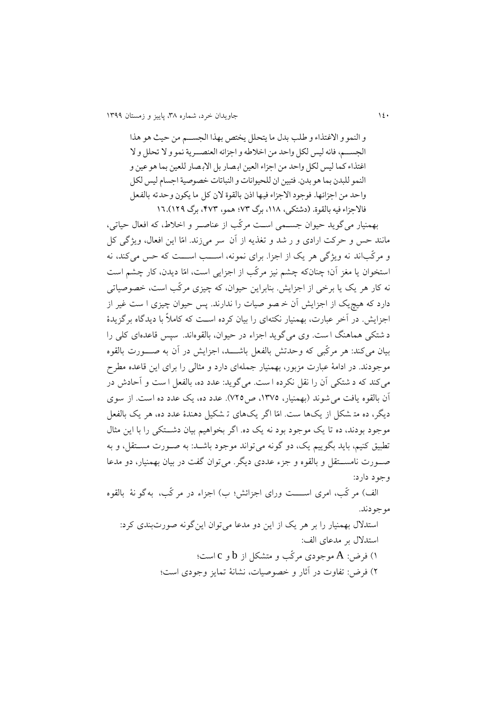و النمو و الاغتذاء و طلب بدل ما يتحلل يختص بهذا الجسم من حيث هو هذا الجسم، فانه ليس لكل واحد من اخلاطه و اجزائه العنصـرية نمو و لا تحلل و لا اغتذاء كما ليس لكل واحد من اجزاء العين ابصار بل الابصار للعين بما هو عين و النمو للبدن بما هو بدن. فتبين ان للحيوانات و النباتات خصوصية اجسام ليس لكل واحد من اجزائها. فوجود الاجزاء فيها اذن بالقوة لان كل ما يكون وحدته بالفعل فالاجزاء فيه بالقوة. (دشتكي، ١١٨، برگ ٧٣؛ همو، ٤٧٣، برگ ١٢٩).11

بهمنیار ميگويد حیوان جسرمي اسرت مركّب از عناصرر و اخالط، كه افعا حیاتي، مانند حس و حركت ارادي و ر شد و تغذيه از آن سر مي زند. امّا اين افعال، ويژگي كل و مركّب اند نه ويژگي هر يک از اجزا. براي نمونه، اســـب اســـت كه حس مي كند، نه استخوان يا مغز آن؛ چنانكه چشم نیز مركّب از اجزايي است، امّا ديدن، كار چشم است نه كار هر يك يا برخي از اجزايش. بنابراين حيوان، كه چيزي مركّب است، خصوصياتي دارد كه هیچ یک از اجزایش آن خـ صو صیات را ندارند. پس حیوان چیزی ا ست غیر از اجزايش. در آخر عبارت، بهمنیار نكتهاي را بیان كرده اسرت كه كامالً با ديدگاه برگزيدة د شتكي هماهنگ ا ست. وي مي گويد اجزاء در حیوان، بالقوهاند. سپس قاعده اي كلي را بیان مي كند: هر مركّبي كه وحدتش بالفعل باشرررد، اجزايش در آن به صرررورت بالقوه موجودند. در ادامۀ عبارت مزبور، بهمنیار جملهاي دارد و مثالي را براي اين قاعده مطر ميكند كه د شتكي آن را نقل نكرده ا ست. مي گويد: عدد ده، بالفعل ا ست و آحادش در آن بالقوه يافت مي شوند (بهمنيار، ١٣٧٥، ص٢٢٥). عدد ده، يك عدد ده است. از سوي ديگر، ده مت شكل از يك ها ست. امّا اگر يكهاي ت شكیل دهندة عدد ده، هر يك بالفعل موجود بودند، ده تا يك موجود بود نه يك ده. اگر بخواهيم بيان دشــتكي را با اين مثال تطبیق كنیم، بايد بگويیم يك، دو گونه ميتواند موجود باشرد: به صرورت مسرتقل، و به صررورت نامسررتقل و بالقوه و جزء عددي ديگر. ميتوان گفت در بیان بهمنیار، دو مدعا وجود دارد:

الف) مر كّب، امرى اســــت وراي اجزائش؛ ب) اجزاء در مر كّب، به گو نۀ بالقوه موجودند.

استد بهمنیار را بر هر يك از اين دو مدعا ميتوان اينگونه صورتبندي كرد: استد بر مدعاي الف: 2( فرض: A موجودي مركّب و متشكل از b و c است؛ 1( فرض: تفاوت در آثار و خصوصیات، نشانۀ تمايز وجودي است؛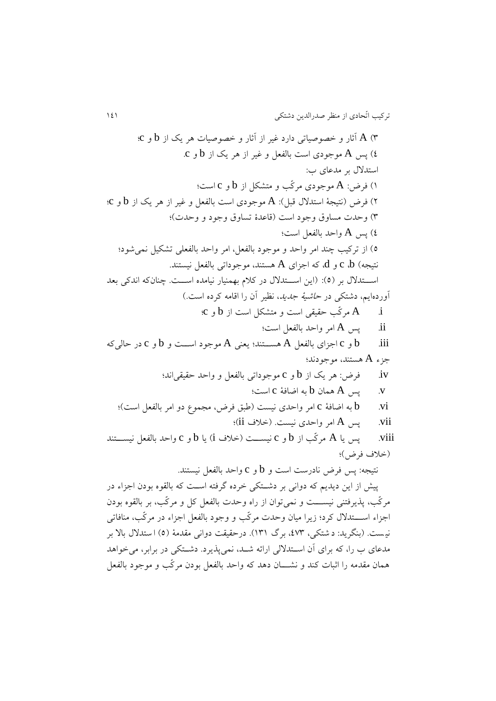8( A آثار و خصوصیاتي دارد غیر از آثار و خصوصیات هر يك از b و c؛ 1( پس A موجودي است بالفعل و غیر از هر يك از b و c. استد بر مدعاي ب: 2( فرض: A موجودي مركّب و متشكل از b و c است؛ 1( فرض )نتیجۀ استد قبل(: A موجودي است بالفعل و غیر از هر يك از b و c؛ 8( وحدت مساوق وجود است )قاعدة تساوق وجود و وحدت(؛ 1( پس A واحد بالفعل است؛ 1( از تركیب چند امر واحد و موجود بالفعل، امر واحد بالفعلي تشكیل نميشود؛ نتیجه( b، c و d، كه اجزاي A هستند، موجوداتي بالفعل نیستند. اسررتد بر )1(: )اين اسررتد در كالم بهمنیار نیامده اسررت. چنان كه اندكي بعد آوردهايم، دشتكي در حاشیۀ جديد، نظیر آن را اقامه كرده است.( i. A مركّب حقیقي است و متشكل است از b و c؛ ii. پس A امر واحد بالفعل است؛ iii. b و c اجزاي بالفعل A هسررتند؛ يعني A موجود اسررت و b و c در حاليكه جزء A هستند، موجودند؛ iv. فرض: هر يك از b و c موجوداتي بالفعل و واحد حقیقياند؛ v. پس A همان b به اضافۀ c است؛ vi. b به اضافۀ c امر واحدي نیست )طبق فرض، مجموع دو امر بالفعل است(؛ vii. پس A امر واحدي نیست. )خالف ii)؛ viii. پس يا A مركّب از b و c نیسررت )خالف i )يا b و c واحد بالفعل نیسررتند )خالف فرض(؛ نتیجه: پس فرض نادرست است و b و c واحد بالفعل نیستند. پیش از اين ديديم كه دواني بر دشرتكي خرده گرفته اسرت كه بالقوه بودن اجزاء در مركّب ، پذيرفتني نیسرررت و نمي توان از راه وحدت بالفعل كل و مركّب ، بر بالقوه ب ودن اجزاء اسرررتد كرد؛ زيرا میان وحدت مركّب و وجود بالفعل اجزاء در مركّب، منافاتي

نیست. (بنگرید: د شتكي، ٤٧٣، برگ ١٣١). درحقیقت دواني مقدمۀ (٥) استدلال بالا بر مدعای ب را، كه برای آن اســتدلالي ارائه شــد، نمي $\mu$ يرد. دشــتكي در برابر، ميخواهد همان مقدمه را اثبات كند و نشــــان دهد كه واحد بالفعل بودن مركّب و موجود بالفعل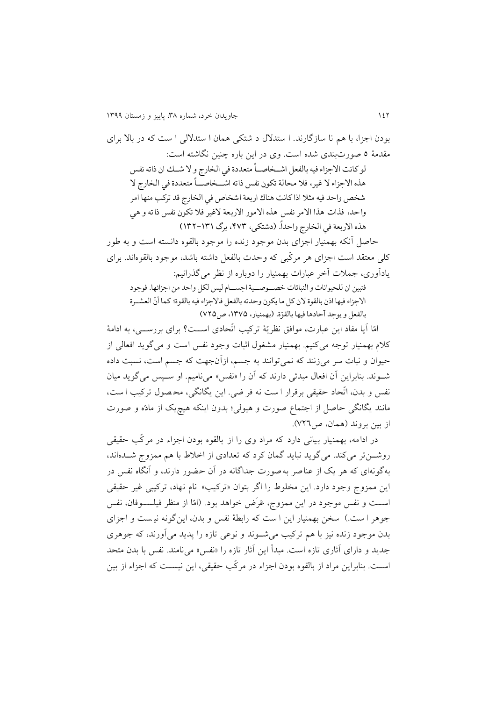بودن اجزا، با هم نا سازگارند. ا ستدلال د شتكي همان ا ستدلالي ا ست كه در بالا براي مقدمۀ 1 صورتبندي شده است. وي در اين باره چنین نگاشته است: لو كانت الاجزاء فيه بالفعل اشـخاصـاً متعددة في الخارج و لا شـك ان ذاته نفس Í هذه الاجزاء لا غير، فلا محالة تكون نفس ذاته اشــخاصــاً متعددة في الخارج لا ۔<br>ا شخص واحد فيه مثلا اذا كانت هناك اربعة اشخاص في الخارج قد تركب منها امر واحد، فذات هذا الامر نفس هذه الامور الاربعة لاغير فلا تكون نفس ذاته و هي هذه الاربعة في الخارج واحدا. (دشتكي، ۴۷۳. برگ ۱۳۱۱–۱۳۲) ۔<br>آ حاصل آنكه بهمنیار اجزاي بدن موجود زنده را موجود بالقوه دانسته است و به طور كلي معتقد است اجزاي هر مركّبي كه وحدت بالفعل داشته باشد، موجود بالقوهاند. براي يادآوري، جمالت آخر عبارات بهمنیار را دوباره از نظر ميگذرانیم:

فتبين ان للحيوانات و النباتات خصــوصــية اجســام ليس لكل واحد من اجزائها. فوجود الاجزاء فيها اذن بالقوة لان كل ما يكون وحدته بالفعل فالاجزاء فيه بالقوة؛ كما أنّ العشـرة بالفعل و يوجد آحادها فيها بالقوّة. (بهمنيار، ١٣٧۵، ص٢٢٥)

امّا آيا مفاد اين عبارت، موافق نظريّۀ تركیب اتّحادي اسررت؟ براي بررسرري، به ادامۀ كالم بهمنیار توجه ميكنیم. بهمنیار مشغو اثبات وجود نفس است و مي گويد افعالي از حیوان و نبات سر مي زنند كه نميتوانند به جسم، ازآن جهت كه جسم است، نسبت داده شوند. بنابراين آن افعال مبدئي دارند كه آن را «نفس» مي ناميم. او سـپس ميگويد ميان نفس و بدن، اتّحاد حقیقی برقرار ا ست نه فر ضي. اين يگانگي، محصول تركيب ا ست، مانند يگانگي حاصل از اجتماع صورت و هیولي؛ بدون اينكه هیچيك از مادّه و صورت از بین بروند )همان، ص111(.

در ادامه، بهمنیار بیاني دارد كه مراد وي را از بالقوه بودن اجزاء در مركّب حقیقي روشـوزتر ميكند. ميگويد نبايد گمان كرد كه تعدادي از اخلاط با هم ممزوج شـدهاند، بهگونهاي كه هر يك از عناصر به صورت جداگانه در آن حضور دارند، و آنگاه نفس در اين ممزوج وجود دارد. اين مخلوط را اگر بتوان »تركیب « نام نهاد، تركیبي غیر حقیقي اســت و نفس موجود در اين ممزوج، عَرَض خواهد بود. (امّا از منظر فیلســوفان، نفس جوهر ا ست.) سخن بهمنیار اين ا ست كه رابطۀ نفس و بدن، اينگونه نيست و اجزاي بدن موجود زنده نیز با هم تركیب ميشرروند و نوعي تازه را پديد ميآورند، كه جوهري جديد و داراي آثاري تازه است. مبدأ اين آثار تازه را »نفس« مينامند. نفس با بدن متحد اسرت. بنابراين مراد از بالقوه بودن اجزاء در مركّب حقیقي، اين نیسرت كه اجزاء از بین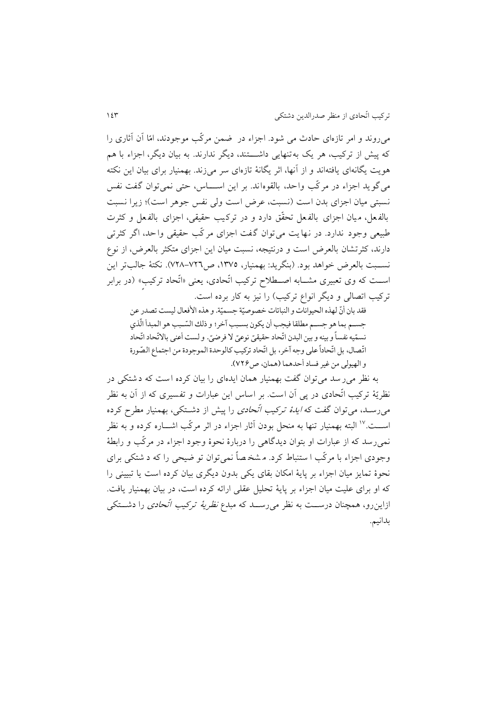ميروند و امر تازهاي حادث مي شود. اجزاء در ضمن مركّب موجودند، امّا آن آثاري را كه پیش از تركیب، هر یك به تنهایی داشــــتند، دیگر ندارند. به بیان دیگر، اجزاء با هم هويت يگانهاي يافتهاند و از آنها، اثر يگانۀ تازهاي سر ميزند. بهمنیار براي بیان اين نكته ميگويد اجزاء در مركّب واحد، بالقوه اند. بر اين اسررراس، حتي نميتوان گفت نفس نسبتي ميان اجزاي بدن است (نسبت، عرض است ولي نفس جوهر است)؛ زيرا نسبت بالفعل، ميان اجزاي بالفعل تحقّق دارد و در تركيب حقيقي، اجزاي بالفعل و كثرت طبیعي وجود ندارد. در نهايت مي توان گفت اجزاي مر كّب حقیقي واحد، اگر كثرتي دارند، كثرتشان بالعرض است و درنتیجه، نسبت میان اين اجزاي متكثر بالعرض، از نوع نســبت بالعرض خواهد بود. (بنگريد: بهمنيار، ١٣٧٥، ص٧٢٦–٧٢٨). نكتۀ جالبتر اين اســت كه وي تعبیري مشـــابه اصـــطلاح تركیب اتّحادي، يعني «اتّحاد تركیب» (در برابر تركیب اتصالی و ديگر انواع تركیب) را نیز به كار برده است.

فقد بان أنّ لهذه الحيوانات و النباتات خصوصيّة جسميّة. و هذه الأفعال ليست تصدر عن ֦֧ : جسم بما هو جسم مطلقا فيجب أن يكون بسـبب آخر؛ و ذلك السّـبب هو المبدأ الّذي -<br>T ֦֧ׅ֜ .<br>نسمّيه نفساً و بينه و بين البدن اتّحاد حقيقيّ نوعيّ لا فرصيّ. و لست أعنى بالاتّحاد اتّحاد ູ້ í<br>∫ ֦֧֦֧֦֧֦֧֦֧֦֧֦֧֦֧֦֧֦֧֦֧֦֧֦֧֦֧<br>֧֧֧֧֧֝֓֝֓֝֝  $\frac{1}{2}$ اتّصال، بل اتّحاداً على وجه آخر، بل اتّحاد تركيب كالوحدة الموجودة من اجتماع الصّورة ֦֦֧֦֧֦֧֦֧֦֧֦֧֦֧֦֧֦֧֦֧֦֧֦֧֦֧֦֧֟֟֟֟֓֟֓֟֓֕֝ ֦֦֧֦֧֦֧֦֧֦֧֦֧֦֧֦֧֦֧֦֧֦֧֦֧֦֧֦֧֟֟֟֟֓֟֓֟֓֕֝ ا أ  $\overline{\phantom{a}}$ و الهيولي من غير فساد أحدهما (همان، ص2٢٢).

به نظر مير سد مي توان گفت بهمنیار همان ايدهاي را بیان كرده ا ست كه د شتكي در نظريّۀ تركیب اتّحادي در پي آن است. بر اساس اين عبارات و تفسیري كه از آن به نظر می رسـد، می توان گفت كه *ايدهٔ تركيب اتّحادي* را پيش از دشــتكي، بهمنيار مطرح كرده اســـت.''' البته بهمنیار تنها به منحل بودن آثار اجزاء در اثر مركّب اشـــاره كرده و به نظر نميرسد كه از عبارات او بتوان ديدگاهي را دربارة نحوة وجود اجزاء در مركّب و رابطۀ وجودي اجزاء با مركّب ا ستنباط كرد. م شخ صاً نمي توان تو ضیح ي را كه د شتكي براي نحوة تمايز میان اجزاء بر پايۀ امكان بقاي يكي بدون ديگري بیان كرده است يا تبییني را كه او براى علیت میان اجزاء بر پايۀ تحليل عقلي ارائه كرده است، در بيان بهمنيار يافت. ازاين٫و، همچنان درســت به نظر مي٫ســد كه مبدع *نظريۀ تركيب اتّحادي* را دشـــتكي بدانیم.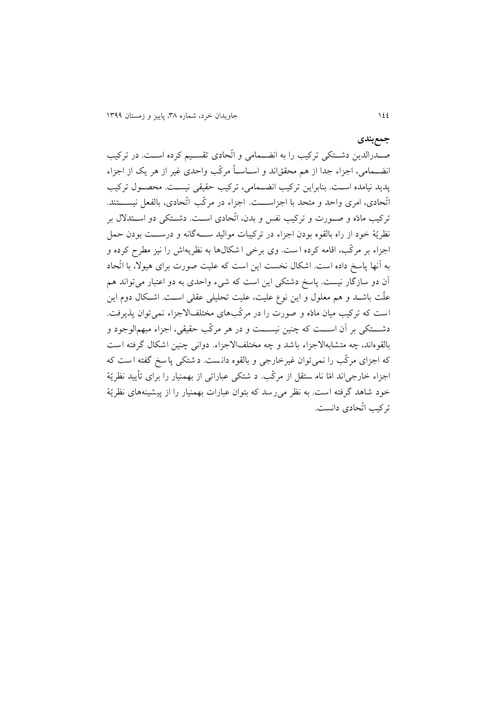#### **جمعبندي**

صـدرالدين دشـتكي تركيب را به انضـمامي و اتّحادي تقسـيم كرده اسـت. در تركيب انضرمامي، اجزاء جدا از هم محققاند و اسراسراً مركّب واحدي غیر از هر يك از اجزاء پديد نیامده اسرت. بنابراين تركیب انضرمامي، تركیب حقیقي نیسرت. محصرو تركیب اتّحادي، امري واحد و متحد با اجزاســـت. اجزاء در مركّب اتّحادي، بالفعل نیســـتند. تركیب مادّه و صررورت و تركیب نفس و بدن، اتّحادي اسررت. دشررتكي دو اسررتد بر نظريّۀ خود از راه بالقوه بودن اجزاء در تركيبات مواليد ســــهگانه و درســـت بودن حمل اجزاء بر مركّب، اقامه كرده ا ست. وي برخي ا شكا ها به نظريهاش را نیز مطر كرده و به آنها پاسخ داده است. اشكال نخست اين است كه عليت صورت براي هیولا، با اتّحاد آن دو سازگار نیست. پاسخ دشتكي اين است كه شيء واحدي به دو اعتبار مي تواند هم علّت باشــد و هم معلول و اين نوع عليت، عليت تحليلي عقلي اســت. اشــكال دوم اين است كه تركیب میان مادّه و صورت را در مركّبهاي مختلفا جزاء نميتوان پذيرفت. دشـــتكي بر آن اســـت كه چنین نیســـت و در هر مركّب حقیقي، اجزاء مبهمالوجود و بالقوهاند، چه متشابهالاجزاء باشد و چه مختلفالاجزاء. دوانی چنین اشكال گرفته است كه اجزاي مركّب را نمي توان غیرخارجي و بالقوه دانست. د شتكي پا سخ گفته ا ست كه اجزاء خارجياند امّا نام ستقل از مركّب. د شتكي عباراتي از بهمنیار را براي تأيید نظريّۀ خود شاهد گرفته است. به نظر مىرسد كه بتوان عبارات بهمنیار را از پیشینههاى نظريّۀ تركیب اتّحادي دانست.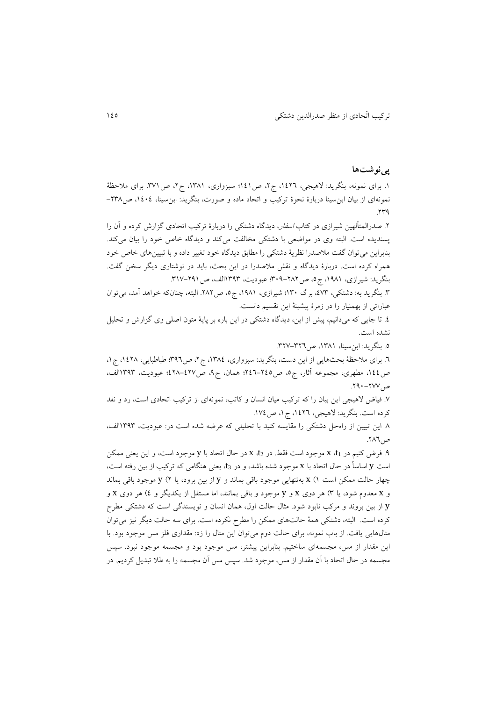#### **پینوشتها**

1. براي نمونه، بنگريد: لاهيجي، ١٤٢٦، ج٢، ص121؛ سبزواري، ١٣٨١، ج٢، ص٣٧١. براي ملاحظۀ نمونهای از بیان ابن سینا دربارهٔ نحوهٔ تركیب و اتحاد ماده و صورت، بنگرید: ابن سینا، ۱٤٠٤، ص۱۳۸ $rr9$ 

.1 صدرالمتألهین شیرازي در كتاب اسفار، ديدگاه دشتكي را دربارة تركیب اتحادي گزارش كرده و آن را پسنديده است. البته وي در مواضعي با دشتكي مخالفت ميكند و ديدگاه خاص خود را بیان ميكند. بنابراين ميتوان گفت مالصدرا نظريۀ دشتكي را مطابق ديدگاه خود تغییر داده و با تبیینهاي خاص خود همراه كرده است. دربارة ديدگاه و نقش مالصدرا در اين بحث، بايد در نوشتاري ديگر سخن گفت. بنگريد: شیرازي، ،2132 ج،1 ص871-131؛ عبوديت، 2818الف، ص.821-112

.8 بنگريد به: دشتكي، ،118 برگ 287؛ شیرازي، ،2132 ج،1 ص.131 البته، چنانكه خواهد آمد، ميتوان عباراتي از بهمنیار را در زمرة پیشینۀ اين تقسیم دانست.

.1 تا جايي كه ميدانیم، پیش از اين، ديدگاه دشتكي در اين باره بر پايۀ متون اصلي وي گزارش و تحلیل نشده است.

.1 بنگريد: ابنسینا، ،2832 ص.811-811

.1 براي مالحظۀ بحثهايي از اين دست، بنگريد: سبزواري، ،2831 ج،1 ص811؛ طباطبايي، ،2113 ج،2 ص،211 مطهري، مجموعه آثار، ج،1 ص111-111؛ همان، ج،1 ص113-111؛ عبوديت، 2818الف،  $V$ ص. ٢٧٧-١٩٠.

.1 فیاض هیجي اين بیان را كه تركیب میان انسان و كاتب، نمونهاي از تركیب اتحادي است، رد و نقد كرده است. بنگريد: لاهيجي، ١٤٢٦، ج١، ص١٧٤.

.3 اين تبیین از راهحل دشتكي را مقايسه كنید با تحلیلي كه عرضه شده است در: عبوديت، 2818الف، ص.131

.1 فرض كنیم در 1t، x موجود است فقط. در 2t، x در حا اتحاد با y موجود است، و اين يعني ممكن است y اساساً در حال اتحاد با x موجود شده باشد، و در t3، يعني هنگامي كه تركيب از بين رفته است، چهار حالت ممكن است 2( x بهتنهايي موجود باقي بماند و y از بین برود، يا 1( y موجود باقي بماند و x معدوم شود، يا 8( هر دوي x و y موجود و باقي بمانند، اما مستقل از يكديگر و 1( هر دوي x و y از بین بروند و مركب نابود شود. مثال حالت اول، همان انسان و نويسندگي است كه دشتكي مطرح كرده است. البته، دشتكي همۀ حالتهاي ممكن را مطر نكرده است. براي سه حالت ديگر نیز ميتوان مثال $\epsilon$ ايي يافت. از باب نمونه، براي حالت دوم ميتوان اين مثال را زد: مقداري فلز مس موجود بود. با اين مقدار از مس، مجسمهاي ساختیم. بنابراين پیشتر، مس موجود بود و مجسمه موجود نبود. سپس مجسمه در حال اتحاد با آن مقدار از مس، موجود شد. سپس مس آن مجسمه را به طلا تبديل كرديم. در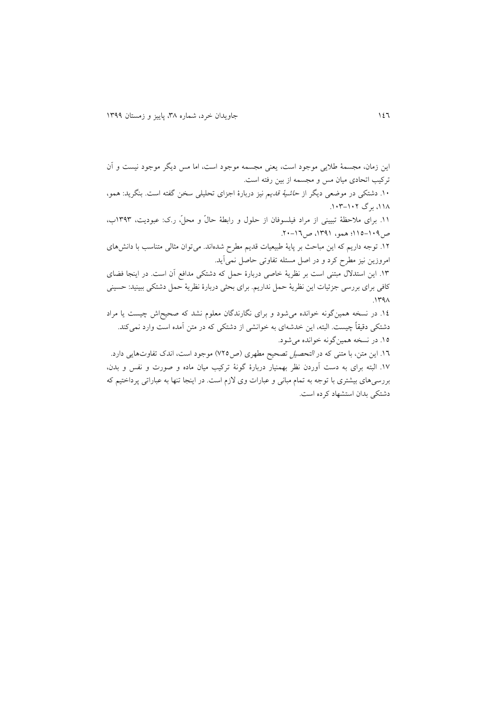اين زمان، مجسمۀ طاليي موجود است، يعني مجسمه موجود است، اما مس ديگر موجود نیست و آن تركیب اتحادي میان مس و مجسمه از بین رفته است. .1. دشتكي در موضعي ديگر از *حاشيۀ قديم* نيز دربارۀ اجزاي تحليلي سخن گفته است. بنگريد: همو، ،1۱۸، برگ ۱۰۲–۱۰۳. .<br>١١. براي ملاحظۀ تبييني از مراد فيلسوفان از حلول و رابطۀ حالّ و محلٍّ، ر.ك: عبوديت، ١٣٩٣ب، ص ١٠٩-١١٥؛ همو، ١٣٩١، ص ١٦-٢٠. .21 توجه داريم كه اين مباحث بر پايۀ طبیعیات قديم مطر شدهاند. ميتوان مثالي متناسب با دانشهاي امروزين نیز مطر كرد و در اصل مسئله تفاوتي حاصل نميآيد. .28 اين استد مبتني است بر نظريۀ خاصي دربارة حمل كه دشتكي مدافع آن است. در اينجا فضاي كافي براي بررسي جزئیات اين نظريۀ حمل نداريم. براي بحثي دربارة نظريۀ حمل دشتكي ببینید: حسیني  $.144\lambda$ .21 در نسخه همینگونه خوانده ميشود و براي نگارندگان معلوم نشد كه صحیحاش چیست يا مراد دشتكي دقیقاً چیست. البته، اين خدشهاي به خوانشي از دشتكي كه در متن آمده است وارد نميكند. .21 در نسخه همینگونه خوانده ميشود. .21 اين متن، با متني كه در التحصیل تصحیح مطهري )ص111( موجود است، اندك تفاوتهايي دارد. .21 البته براي به دست آوردن نظر بهمنیار دربارة گونۀ تركیب میان ماده و صورت و نفس و بدن، بررسيهاي بیشتري با توجه به تمام مباني و عبارات وي زم است. در اينجا تنها به عباراتي پرداختیم كه دشتكي بدان استشهاد كرده است.